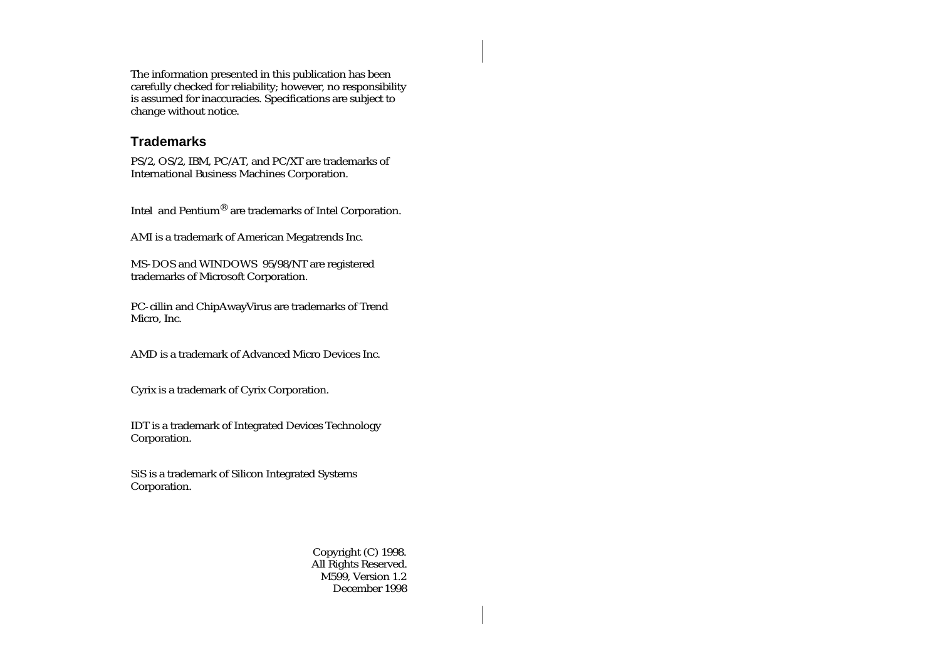The information presented in this publication has been carefully checked for reliability; however, no responsibility is assumed for inaccuracies. Specifications are subject to change without notice.

#### **Trademarks**

PS/2, OS/2, IBM, PC/AT, and PC/XT are trademarks of International Business Machines Corporation.

Intel and Pentium® are trademarks of Intel Corporation.

AMI is a trademark of American Megatrends Inc.

MS-DOS and WINDOWS 95/98/NT are registered trademarks of Microsoft Corporation.

PC-cillin and ChipAwayVirus are trademarks of Trend Micro, Inc.

AMD is a trademark of Advanced Micro Devices Inc.

Cyrix is a trademark of Cyrix Corporation.

IDT is a trademark of Integrated Devices Technology Corporation.

SiS is a trademark of Silicon Integrated Systems Corporation.

> Copyright (C) 1998. All Rights Reserved. M599, Version 1.2 December 1998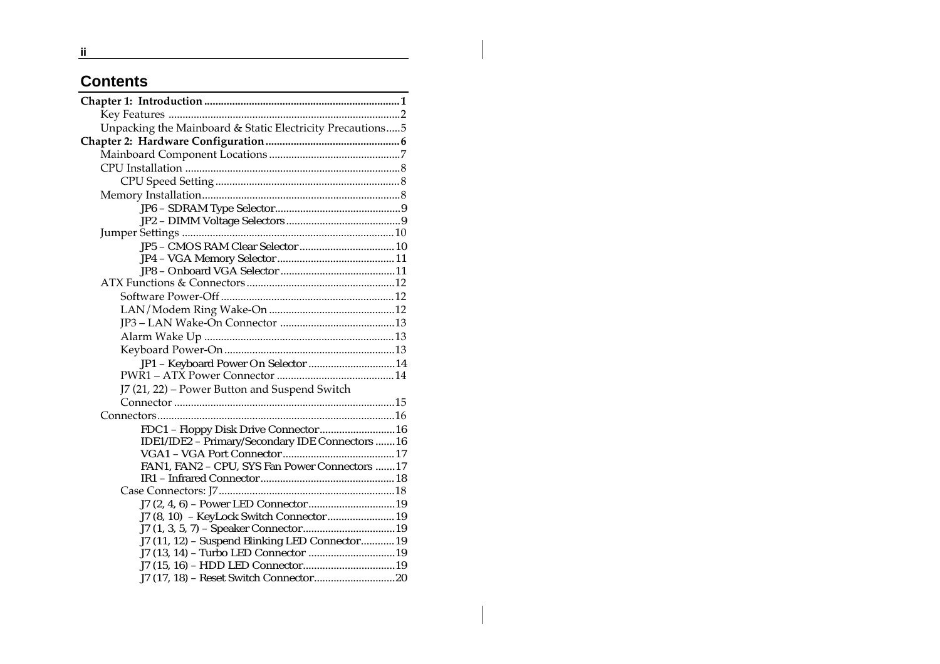# **Contents**

| Unpacking the Mainboard & Static Electricity Precautions5 |  |
|-----------------------------------------------------------|--|
|                                                           |  |
|                                                           |  |
|                                                           |  |
|                                                           |  |
|                                                           |  |
|                                                           |  |
|                                                           |  |
|                                                           |  |
|                                                           |  |
|                                                           |  |
|                                                           |  |
|                                                           |  |
|                                                           |  |
|                                                           |  |
|                                                           |  |
|                                                           |  |
|                                                           |  |
| JP1 - Keyboard Power On Selector  14                      |  |
|                                                           |  |
| J7 (21, 22) - Power Button and Suspend Switch             |  |
|                                                           |  |
|                                                           |  |
| FDC1 - Floppy Disk Drive Connector  16                    |  |
| IDE1/IDE2 - Primary/Secondary IDE Connectors  16          |  |
|                                                           |  |
| FAN1, FAN2 - CPU, SYS Fan Power Connectors 17             |  |
|                                                           |  |
|                                                           |  |
|                                                           |  |
| J7 (8, 10) - KeyLock Switch Connector  19                 |  |
|                                                           |  |
| J7 (11, 12) - Suspend Blinking LED Connector 19           |  |
|                                                           |  |
|                                                           |  |
|                                                           |  |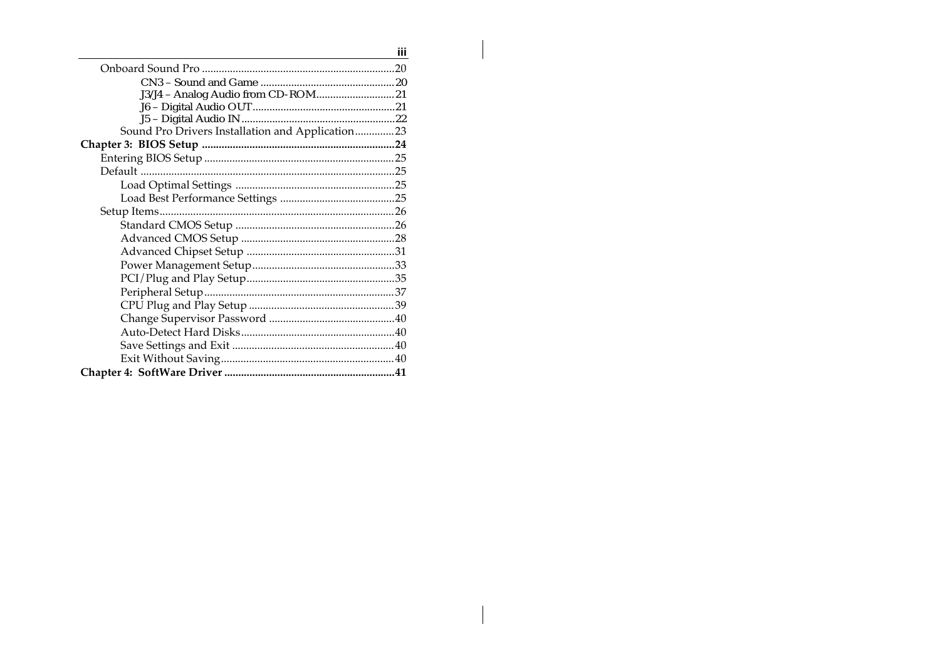| iii                                              |  |
|--------------------------------------------------|--|
|                                                  |  |
|                                                  |  |
|                                                  |  |
|                                                  |  |
|                                                  |  |
| Sound Pro Drivers Installation and Application23 |  |
|                                                  |  |
|                                                  |  |
|                                                  |  |
|                                                  |  |
|                                                  |  |
|                                                  |  |
|                                                  |  |
|                                                  |  |
|                                                  |  |
|                                                  |  |
|                                                  |  |
|                                                  |  |
|                                                  |  |
|                                                  |  |
|                                                  |  |
|                                                  |  |
|                                                  |  |
|                                                  |  |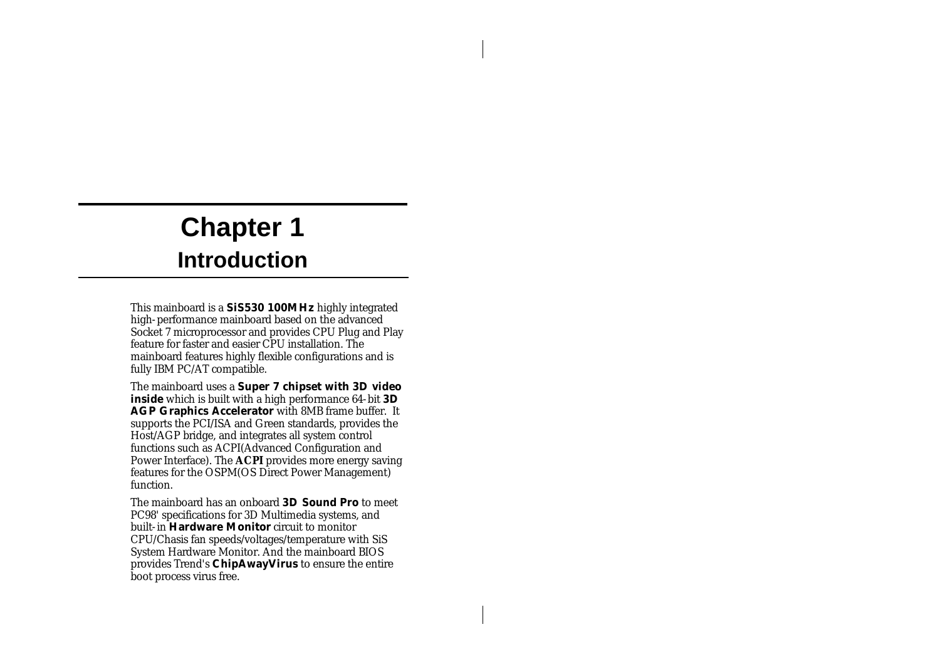# **Chapter 1 Introduction**

This mainboard is a **SiS530 100MHz** highly integrated high-performance mainboard based on the advanced Socket 7 microprocessor and provides CPU Plug and Play feature for faster and easier CPU installation. The mainboard features highly flexible configurations and is fully IBM PC/AT compatible.

The mainboard uses a **Super 7 chipset with 3D video inside** which is built with a high performance 64-bit **3D AGP Graphics Accelerator** with 8MB frame buffer. It supports the PCI/ISA and Green standards, provides the Host/AGP bridge, and integrates all system control functions such as ACPI(Advanced Configuration and Power Interface). The **ACPI** provides more energy saving features for the OSPM(OS Direct Power Management) function.

The mainboard has an onboard **3D Sound Pro** to meet PC98' specifications for 3D Multimedia systems, and built-in **Hardware Monitor** circuit to monitor CPU/Chasis fan speeds/voltages/temperature with SiS System Hardware Monitor. And the mainboard BIOS provides Trend's **ChipAwayVirus** to ensure the entire boot process virus free.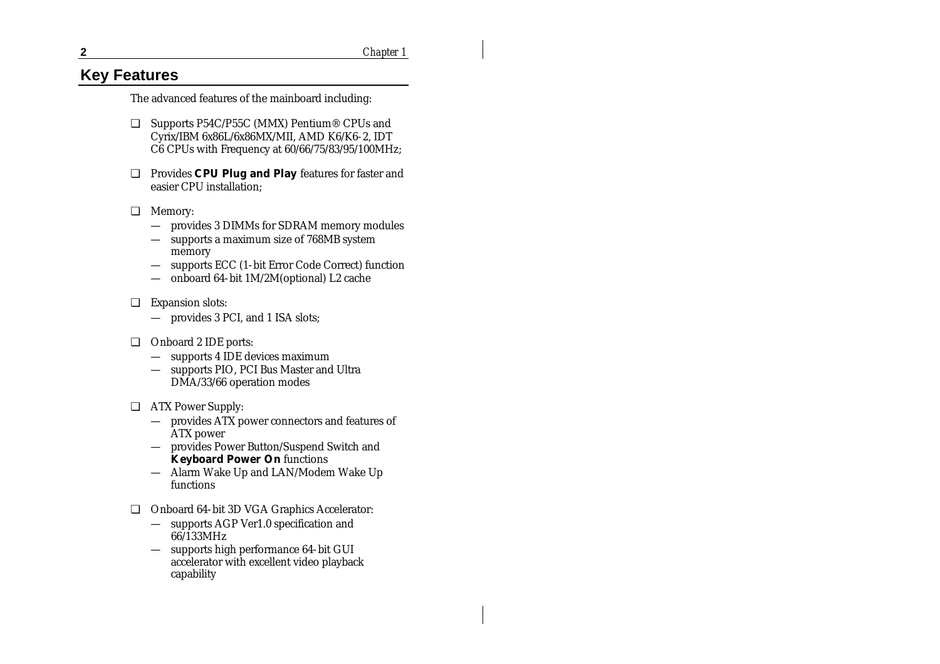**2** *Chapter 1*

# **Key Features**

The advanced features of the mainboard including:

- ❏ Supports P54C/P55C (MMX) Pentium® CPUs and Cyrix/IBM 6x86L/6x86MX/MII, AMD K6/K6-2, IDT C6 CPUs with Frequency at 60/66/75/83/95/100MHz;
- ❏ Provides **CPU Plug and Play** features for faster and easier CPU installation;
- ❏ Memory:
	- provides 3 DIMMs for SDRAM memory modules
	- supports a maximum size of 768MB system memory
	- supports ECC (1-bit Error Code Correct) function
	- onboard 64-bit 1M/2M(optional) L2 cache
- ❏ Expansion slots:
	- provides 3 PCI, and 1 ISA slots;
- ❏ Onboard 2 IDE ports:
	- supports 4 IDE devices maximum
	- supports PIO, PCI Bus Master and Ultra DMA/33/66 operation modes
- ❏ ATX Power Supply:
	- provides ATX power connectors and features of ATX power
	- provides Power Button/Suspend Switch and **Keyboard Power On** functions
	- Alarm Wake Up and LAN/Modem Wake Up functions
- ❏ Onboard 64-bit 3D VGA Graphics Accelerator:
	- supports AGP Ver1.0 specification and 66/133MHz
	- supports high performance 64-bit GUI accelerator with excellent video playback capability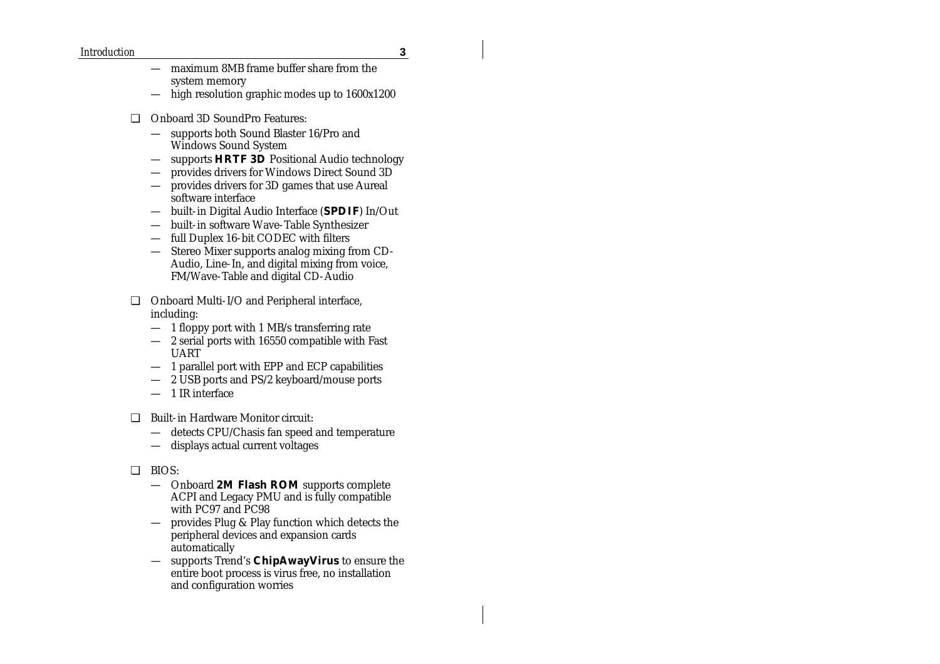#### *Introduction* **3**

- maximum 8MB frame buffer share from the system memory
- $-$  high resolution graphic modes up to  $1600x1200$
- ❏ Onboard 3D SoundPro Features:
	- supports both Sound Blaster 16/Pro and Windows Sound System
	- supports **HRTF 3D** Positional Audio technology
	- provides drivers for Windows Direct Sound 3D
	- provides drivers for 3D games that use Aureal software interface
	- built-in Digital Audio Interface (**SPDIF**) In/Out
	- built-in software Wave-Table Synthesizer
	- full Duplex 16-bit CODEC with filters
	- Stereo Mixer supports analog mixing from CD-Audio, Line-In, and digital mixing from voice, FM/Wave-Table and digital CD-Audio
- ❏ Onboard Multi-I/O and Peripheral interface, including:
	- 1 floppy port with 1 MB/s transferring rate
	- 2 serial ports with 16550 compatible with Fast UART
	- 1 parallel port with EPP and ECP capabilities
	- 2 USB ports and PS/2 keyboard/mouse ports
	- 1 IR interface
- ❏ Built-in Hardware Monitor circuit:
	- detects CPU/Chasis fan speed and temperature
	- displays actual current voltages
- ❏ BIOS:
	- Onboard **2M Flash ROM** supports complete ACPI and Legacy PMU and is fully compatible with PC97 and PC98
	- provides Plug & Play function which detects the peripheral devices and expansion cards automatically
	- supports Trend's **ChipAwayVirus** to ensure the entire boot process is virus free, no installation and configuration worries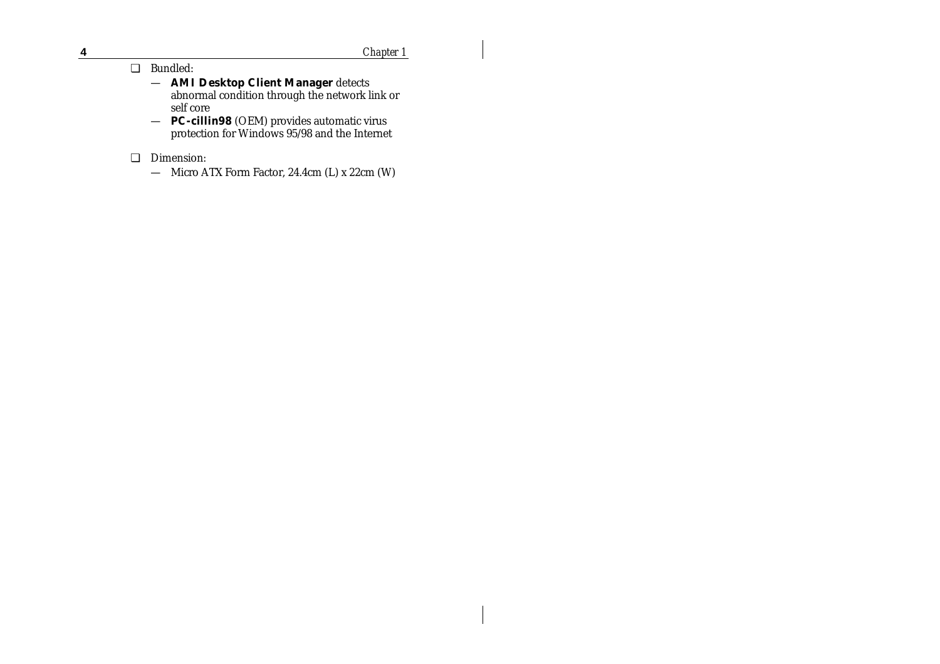**4** *Chapter 1*

 $\mathbf{I}$ 

#### ❏ Bundled:

- **AMI Desktop Client Manager** detects abnormal condition through the network link or self core
- **PC-cillin98** (OEM) provides automatic virus protection for Windows 95/98 and the Internet
- ❏ Dimension:
	- Micro ATX Form Factor, 24.4cm (L) x 22cm (W)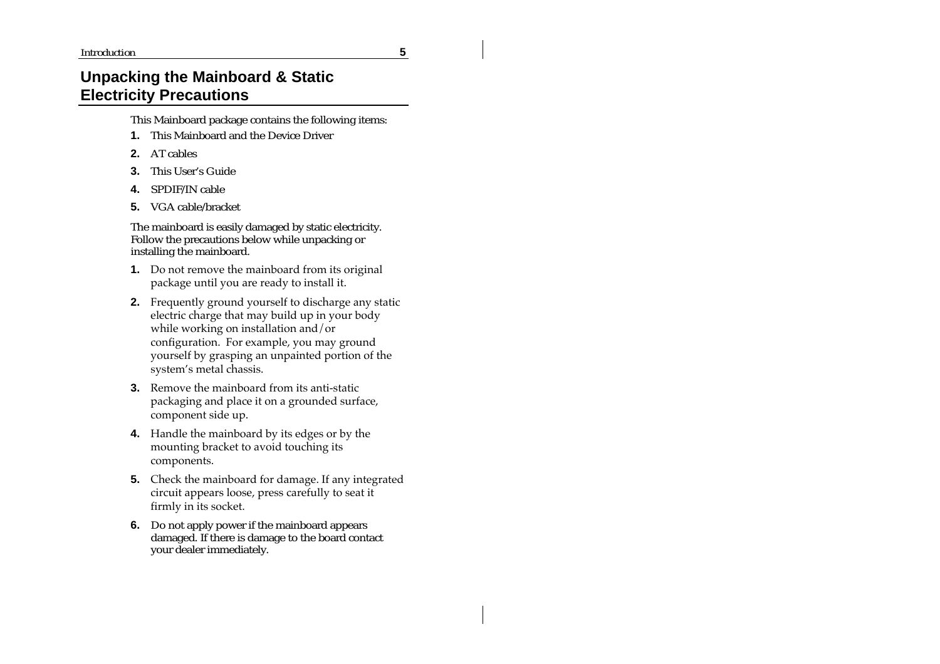# **Unpacking the Mainboard & Static Electricity Precautions**

This Mainboard package contains the following items:

- **1.** This Mainboard and the Device Driver
- **2.** AT cables
- **3.** This User's Guide
- **4.** SPDIF/IN cable
- **5.** VGA cable/bracket

The mainboard is easily damaged by static electricity. Follow the precautions below while unpacking or installing the mainboard.

- **1.** Do not remove the mainboard from its original package until you are ready to install it.
- **2.** Frequently ground yourself to discharge any static electric charge that may build up in your body while working on installation and/or configuration. For example, you may ground yourself by grasping an unpainted portion of the system's metal chassis.
- **3.** Remove the mainboard from its anti-static packaging and place it on a grounded surface, component side up.
- **4.** Handle the mainboard by its edges or by the mounting bracket to avoid touching its components.
- **5.** Check the mainboard for damage. If any integrated circuit appears loose, press carefully to seat it firmly in its socket.
- **6.** Do not apply power if the mainboard appears damaged. If there is damage to the board contact your dealer immediately.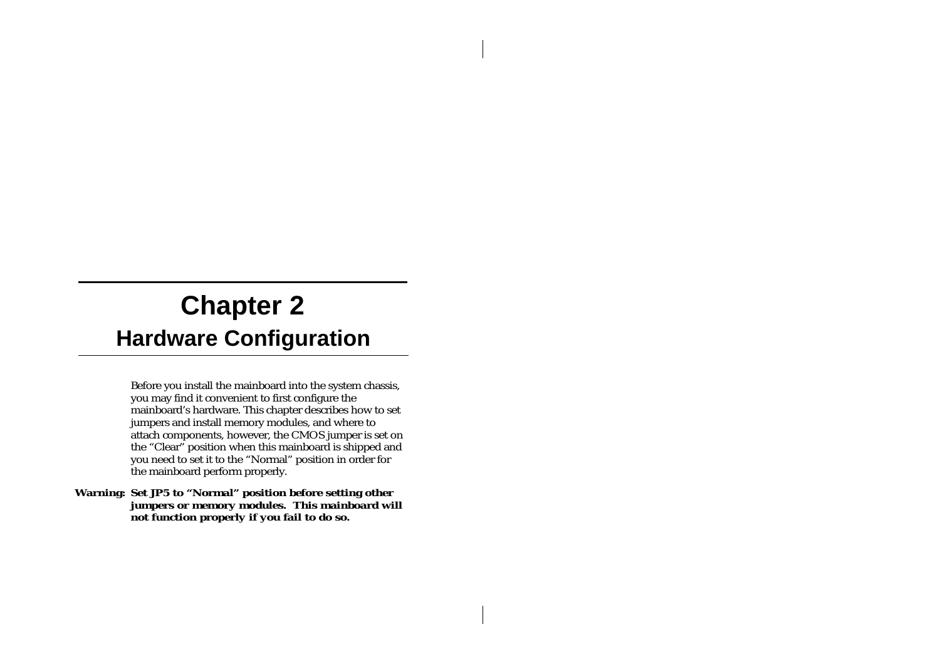# **Chapter 2 Hardware Configuration**

Before you install the mainboard into the system chassis, you may find it convenient to first configure the mainboard's hardware. This chapter describes how to set jumpers and install memory modules, and where to attach components, however, the CMOS jumper is set on the "Clear" position when this mainboard is shipped and you need to set it to the "Normal" position in order for the mainboard perform properly.

*Warning: Set JP5 to "Normal" position before setting other jumpers or memory modules. This mainboard will not function properly if you fail to do so.*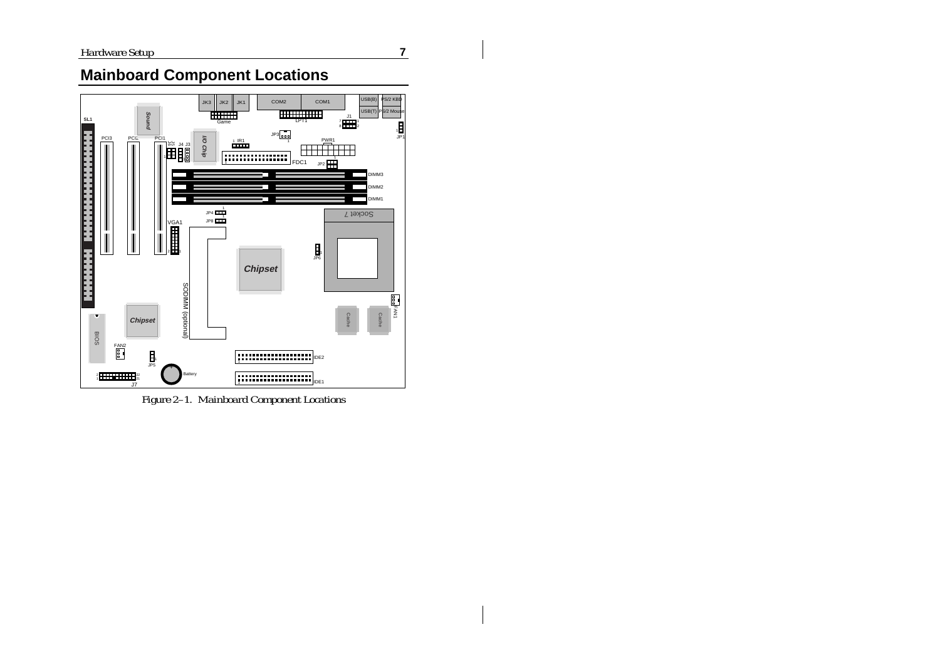$\mathbf{I}$ 



**Mainboard Component Locations**

*Figure 2–1. Mainboard Component Locations*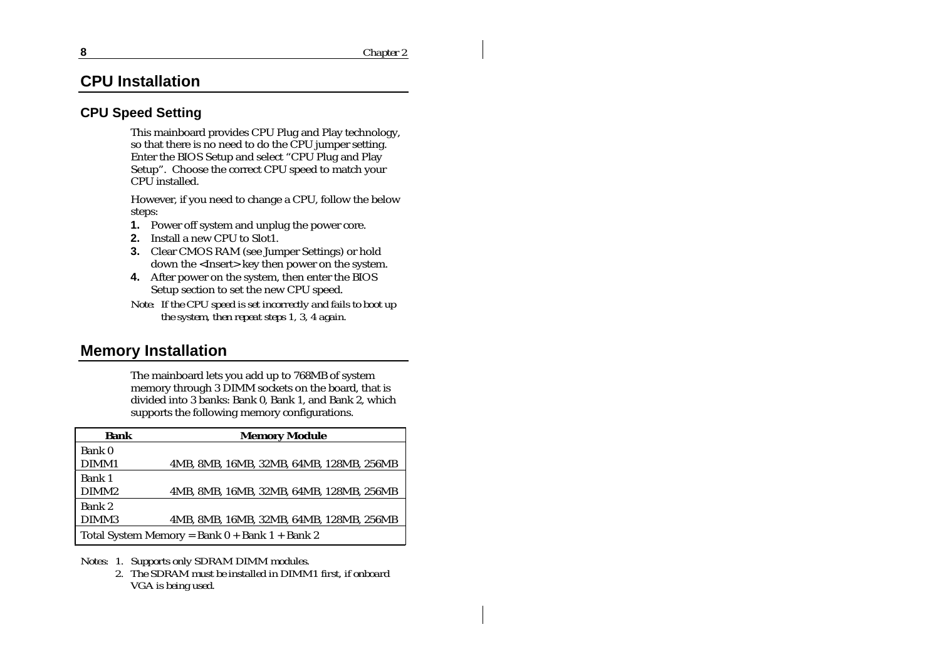# **CPU Installation**

#### **CPU Speed Setting**

This mainboard provides CPU Plug and Play technology, so that there is no need to do the CPU jumper setting. Enter the BIOS Setup and select "CPU Plug and Play Setup". Choose the correct CPU speed to match your CPU installed.

However, if you need to change a CPU, follow the below steps:

- **1.** Power off system and unplug the power core.
- **2.** Install a new CPU to Slot1.
- **3.** Clear CMOS RAM (see Jumper Settings) or hold down the <Insert> key then power on the system.
- **4.** After power on the system, then enter the BIOS Setup section to set the new CPU speed.
- *Note: If the CPU speed is set incorrectly and fails to boot up the system, then repeat steps 1, 3, 4 again.*

# **Memory Installation**

The mainboard lets you add up to 768MB of system memory through 3 DIMM sockets on the board, that is divided into 3 banks: Bank 0, Bank 1, and Bank 2, which supports the following memory configurations.

| <b>Bank</b>       | <b>Memory Module</b>                               |
|-------------------|----------------------------------------------------|
| Bank 0            |                                                    |
| DIMM1             | 4MB, 8MB, 16MB, 32MB, 64MB, 128MB, 256MB           |
| Bank 1            |                                                    |
| DIMM <sub>2</sub> | 4MB, 8MB, 16MB, 32MB, 64MB, 128MB, 256MB           |
| Bank 2            |                                                    |
| DIMM3             | 4MB, 8MB, 16MB, 32MB, 64MB, 128MB, 256MB           |
|                   | Total System Memory = Bank $0 +$ Bank $1 +$ Bank 2 |

- *Notes: 1. Supports only SDRAM DIMM modules.*
	- *2. The SDRAM must be installed in DIMM1 first, if onboard VGA is being used.*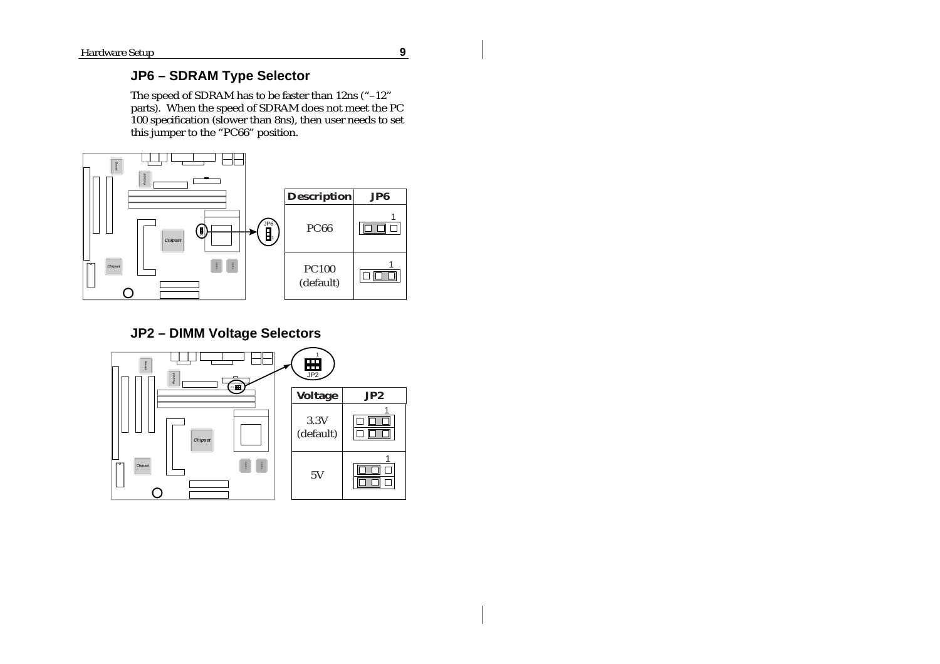$\mathbf{I}$ 

# **JP6 – SDRAM Type Selector**

The speed of SDRAM has to be faster than 12ns ("–12" parts). When the speed of SDRAM does not meet the PC 100 specification (slower than 8ns), then user needs to set this jumper to the "PC66" position.



# **JP2 – DIMM Voltage Selectors**

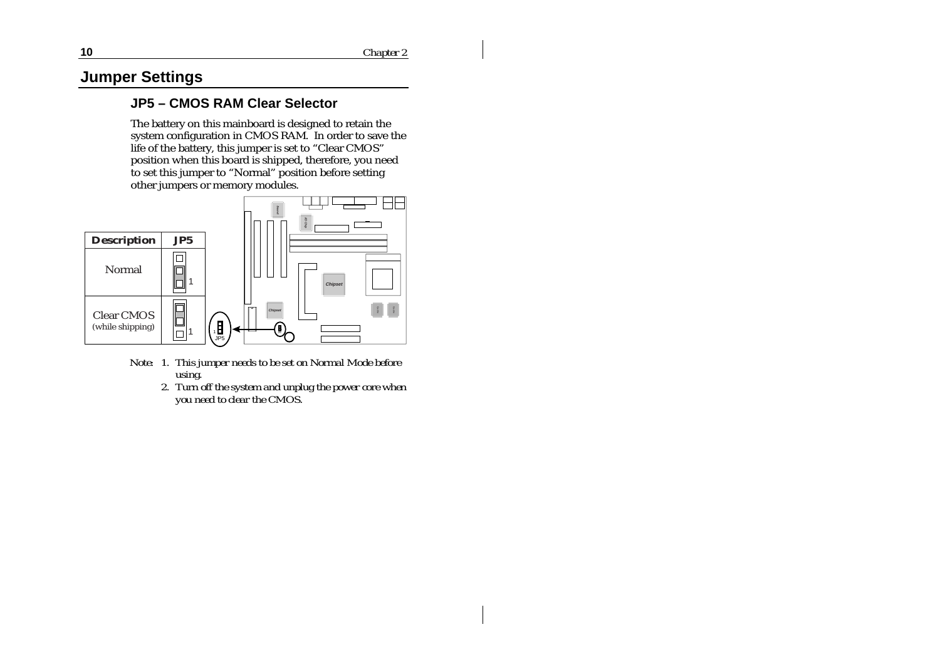# **Jumper Settings**

# **JP5 – CMOS RAM Clear Selector**

The battery on this mainboard is designed to retain the system configuration in CMOS RAM. In order to save the life of the battery, this jumper is set to "Clear CMOS" position when this board is shipped, therefore, you need to set this jumper to "Normal" position before setting other jumpers or memory modules.



- *Note: 1. This jumper needs to be set on Normal Mode before using.*
	- *2. Turn off the system and unplug the power core when you need to clear the CMOS.*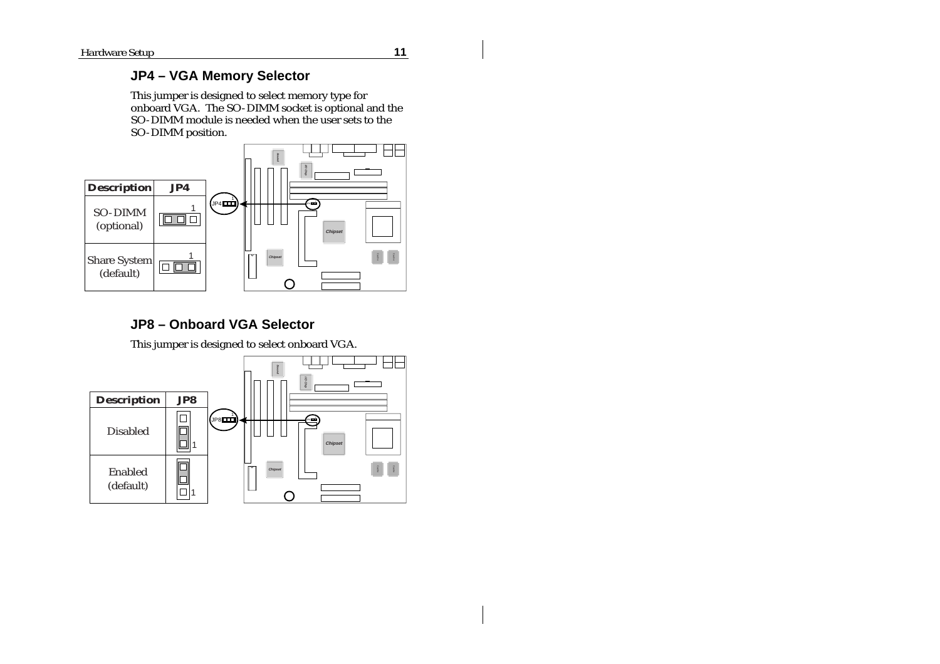#### **JP4 – VGA Memory Selector**

This jumper is designed to select memory type for onboard VGA. The SO-DIMM socket is optional and the SO-DIMM module is needed when the user sets to the SO-DIMM position.



# **JP8 – Onboard VGA Selector**

This jumper is designed to select onboard VGA.

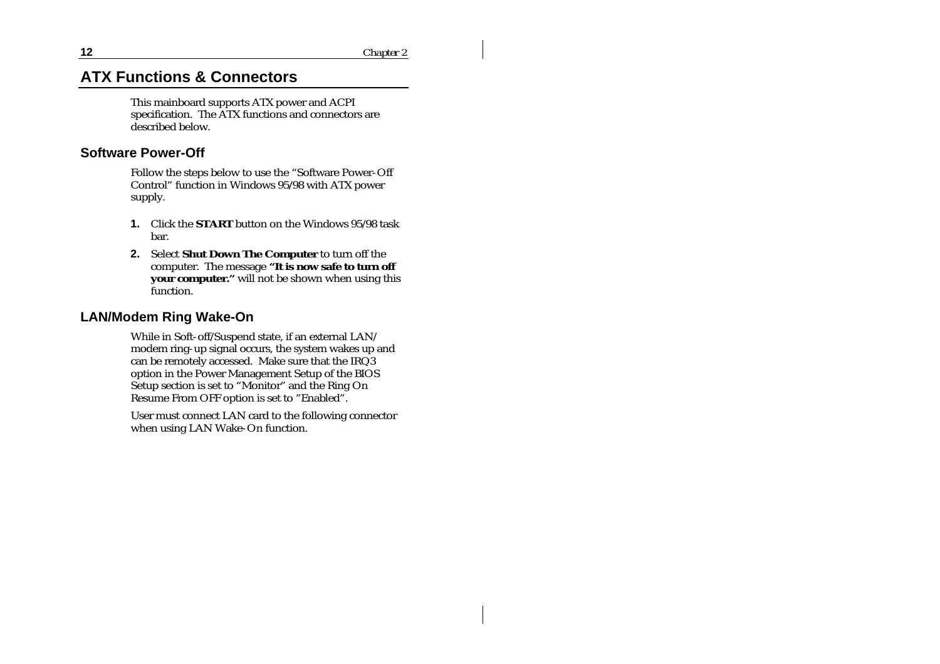# **ATX Functions & Connectors**

This mainboard supports ATX power and ACPI specification. The ATX functions and connectors are described below.

#### **Software Power-Off**

Follow the steps below to use the "Software Power-Off Control" function in Windows 95/98 with ATX power supply.

- **1.** Click the **START** button on the Windows 95/98 task bar.
- **2.** Select **Shut Down The Computer** to turn off the computer. The message **"It is now safe to turn off your computer."** will not be shown when using this function.

#### **LAN/Modem Ring Wake-On**

While in Soft-off/Suspend state, if an external LAN/ modem ring-up signal occurs, the system wakes up and can be remotely accessed. Make sure that the IRQ3 option in the Power Management Setup of the BIOS Setup section is set to "Monitor" and the Ring On Resume From OFF option is set to "Enabled".

User must connect LAN card to the following connector when using LAN Wake-On function.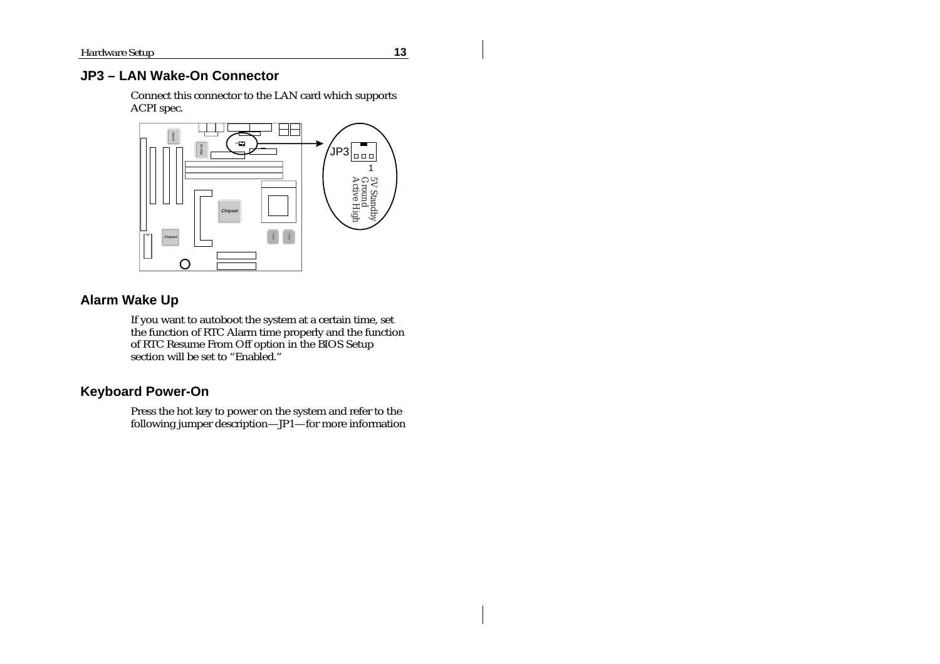$\mathbf{I}$ 

# **JP3 – LAN Wake-On Connector**

Connect this connector to the LAN card which supports ACPI spec.



#### **Alarm Wake Up**

If you want to autoboot the system at a certain time, set the function of RTC Alarm time properly and the function of RTC Resume From Off option in the BIOS Setup section will be set to "Enabled."

# **Keyboard Power-On**

Press the hot key to power on the system and refer to the following jumper description—JP1—for more information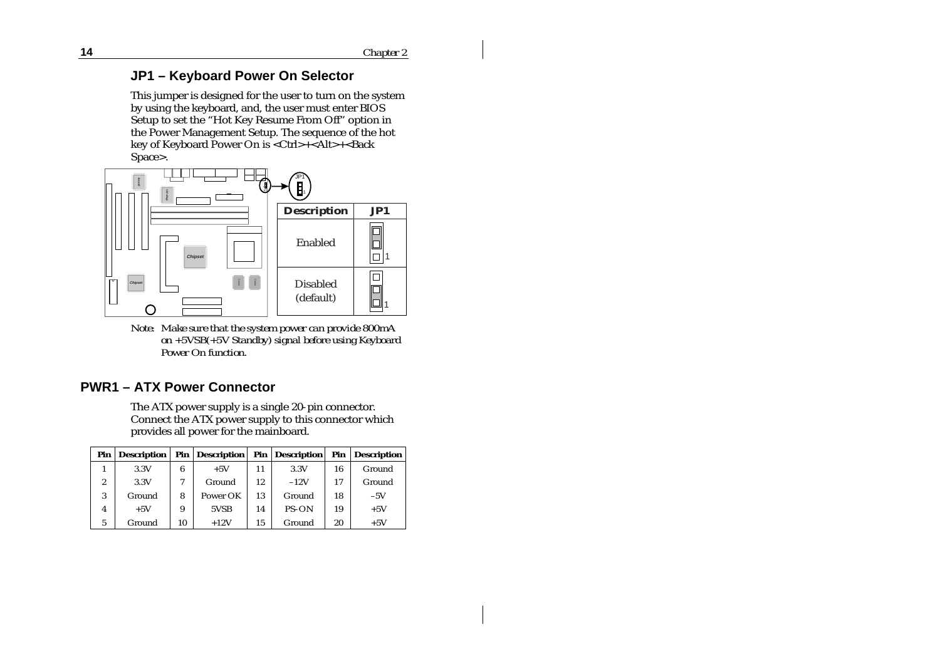#### **JP1 – Keyboard Power On Selector**

This jumper is designed for the user to turn on the system by using the keyboard, and, the user must enter BIOS Setup to set the "Hot Key Resume From Off" option in the Power Management Setup. The sequence of the hot key of Keyboard Power On is <Ctrl>+<Alt>+<Back Space>.



*Note: Make sure that the system power can provide 800mA on +5VSB(+5V Standby) signal before using Keyboard Power On function.*

# **PWR1 – ATX Power Connector**

The ATX power supply is a single 20-pin connector. Connect the ATX power supply to this connector which provides all power for the mainboard.

| Pin | Description |    | Pin   Description |    | <b>Pin</b> Description |    | Pin Description |
|-----|-------------|----|-------------------|----|------------------------|----|-----------------|
|     | 3.3V        | 6  | $+5V$             | 11 | 3.3V                   | 16 | Ground          |
| 2   | 3.3V        |    | Ground            | 12 | $-12V$                 | 17 | Ground          |
| 3   | Ground      | 8  | Power OK          | 13 | Ground                 | 18 | $-5V$           |
| 4   | $+5V$       | 9  | 5VSB              | 14 | PS-ON                  | 19 | $+5V$           |
| 5   | Ground      | 10 | $+12V$            | 15 | Ground                 | 20 | $+5V$           |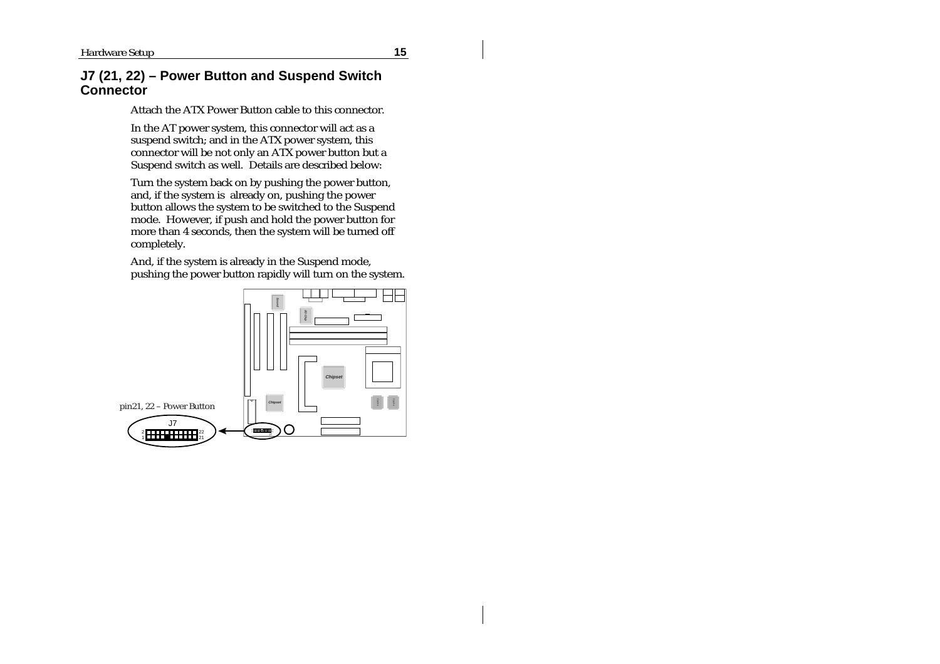#### **J7 (21, 22) – Power Button and Suspend Switch Connector**

Attach the ATX Power Button cable to this connector.

In the AT power system, this connector will act as a suspend switch; and in the ATX power system, this connector will be not only an ATX power button but a Suspend switch as well. Details are described below:

Turn the system back on by pushing the power button, and, if the system is already on, pushing the power button allows the system to be switched to the Suspend mode. However, if push and hold the power button for more than 4 seconds, then the system will be turned off completely.

And, if the system is already in the Suspend mode, pushing the power button rapidly will turn on the system.

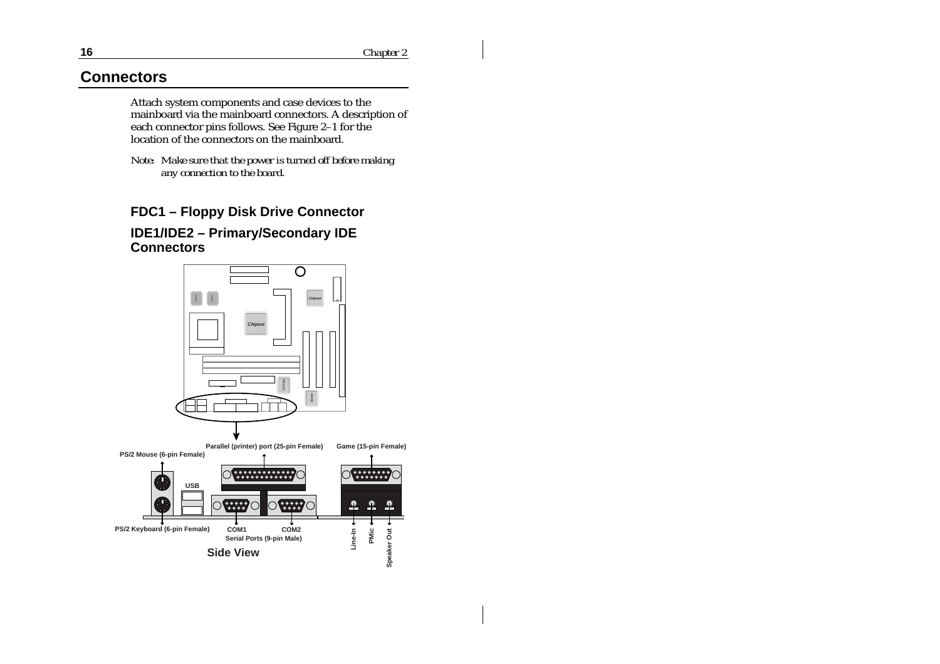# **Connectors**

Attach system components and case devices to the mainboard via the mainboard connectors. A description of each connector pins follows. See Figure 2–1 for the location of the connectors on the mainboard.

*Note: Make sure that the power is turned off before making any connection to the board.*

### **FDC1 – Floppy Disk Drive Connector**

#### **IDE1/IDE2 – Primary/Secondary IDE Connectors**

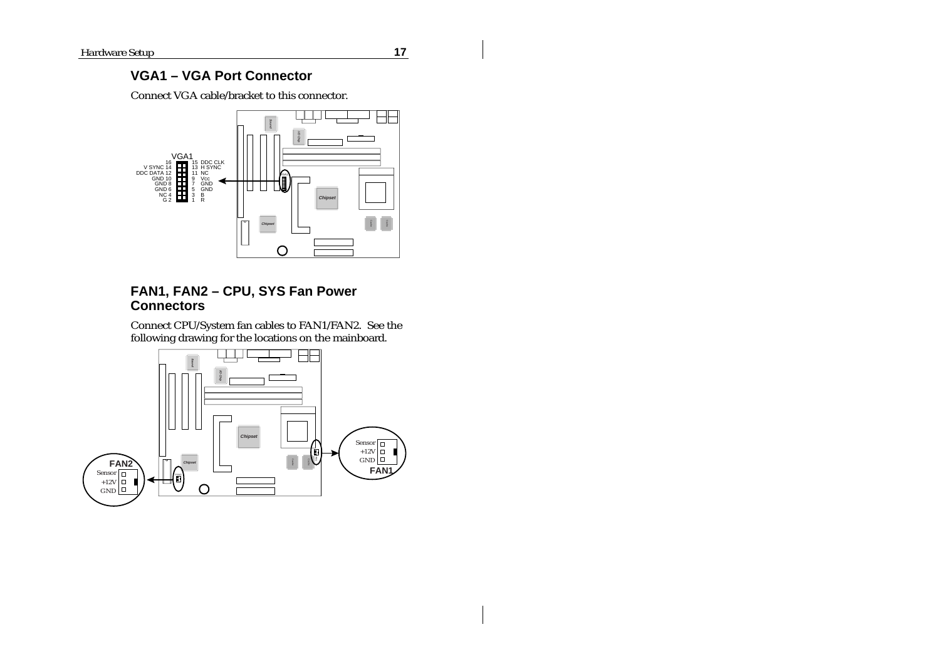# **VGA1 – VGA Port Connector**

Connect VGA cable/bracket to this connector.



#### **FAN1, FAN2 – CPU, SYS Fan Power Connectors**

Connect CPU/System fan cables to FAN1/FAN2. See the following drawing for the locations on the mainboard.

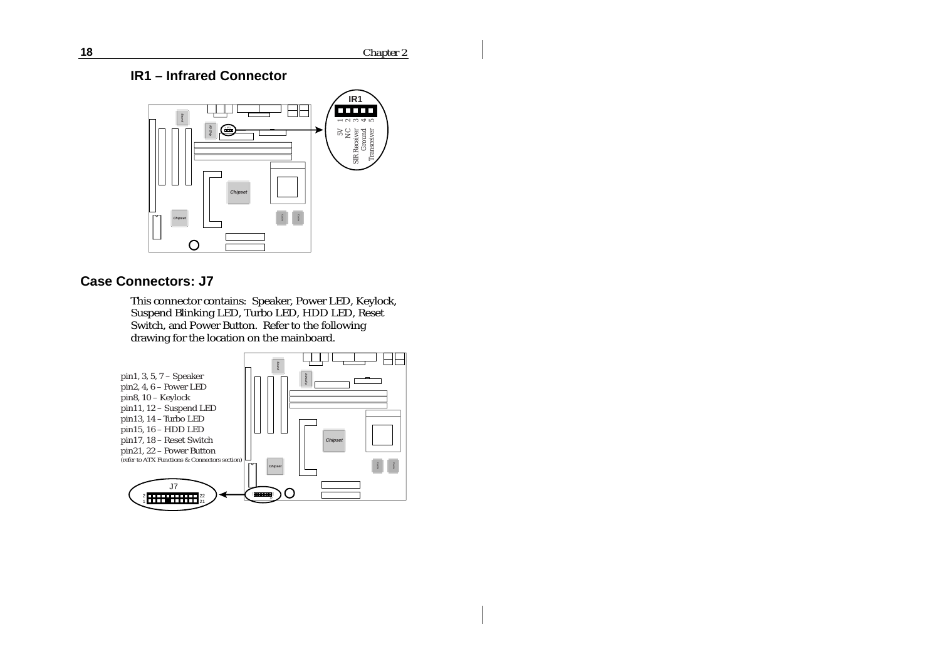**18** *Chapter 2*

**IR1 – Infrared Connector**



### **Case Connectors: J7**

This connector contains: Speaker, Power LED, Keylock, Suspend Blinking LED, Turbo LED, HDD LED, Reset Switch, and Power Button. Refer to the following drawing for the location on the mainboard.

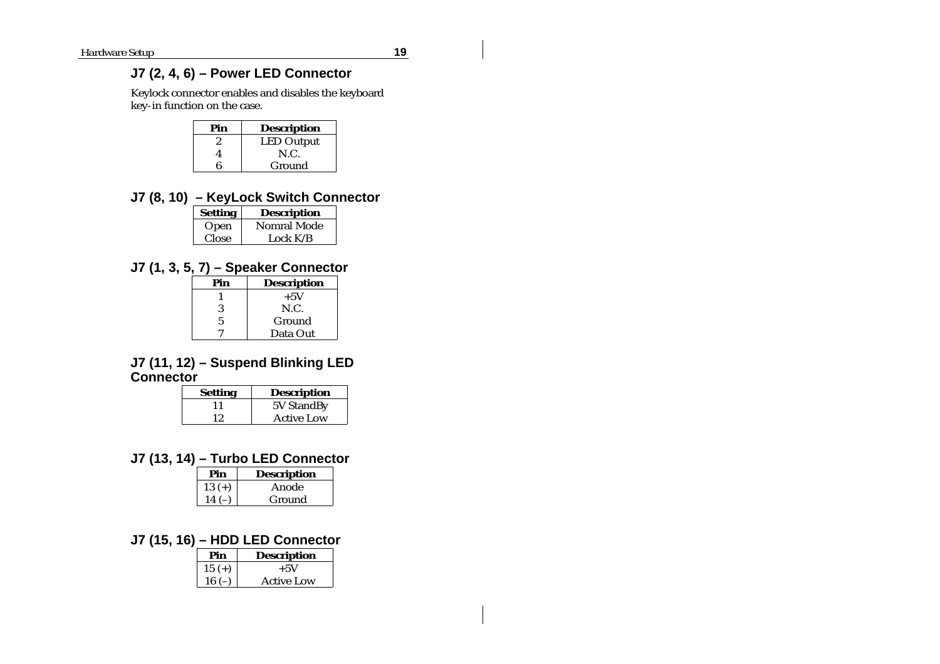# **J7 (2, 4, 6) – Power LED Connector**

Keylock connector enables and disables the keyboard key-in function on the case.

| Pin | <b>Description</b> |
|-----|--------------------|
|     | <b>LED Output</b>  |
|     | N.C.               |
|     | Ground             |

### **J7 (8, 10) – KeyLock Switch Connector**

| <b>Setting</b> | <b>Description</b> |
|----------------|--------------------|
| Open           | Nomral Mode        |
| Close          | Lock $K/B$         |

# **J7 (1, 3, 5, 7) – Speaker Connector**

| Pin | <b>Description</b> |
|-----|--------------------|
|     | $+5V$              |
| 3   | N.C.               |
| 5   | Ground             |
|     | Data Out           |

#### **J7 (11, 12) – Suspend Blinking LED Connector**

| Setting | <b>Description</b> |
|---------|--------------------|
|         | 5V StandBy         |
| 12      | <b>Active Low</b>  |

# **J7 (13, 14) – Turbo LED Connector**

| Pin      | <b>Description</b> |
|----------|--------------------|
| $13 (+)$ | Anode              |
| 14       | Ground             |

### **J7 (15, 16) – HDD LED Connector**

| Pin      | <b>Description</b> |
|----------|--------------------|
| $15 (+)$ | $+5V$              |
| $16(-)$  | Active Low         |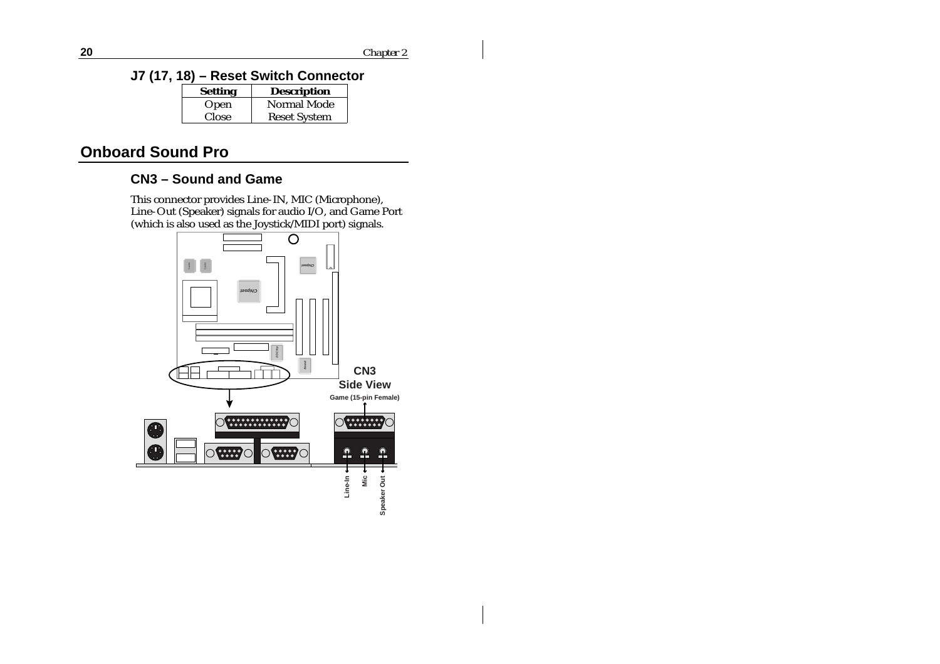**J7 (17, 18) – Reset Switch Connector**

| <b>Setting</b> | <b>Description</b>  |
|----------------|---------------------|
| Open           | Normal Mode         |
| Close          | <b>Reset System</b> |

# **Onboard Sound Pro**

# **CN3 – Sound and Game**

This connector provides Line-IN, MIC (Microphone), Line-Out (Speaker) signals for audio I/O, and Game Port (which is also used as the Joystick/MIDI port) signals.

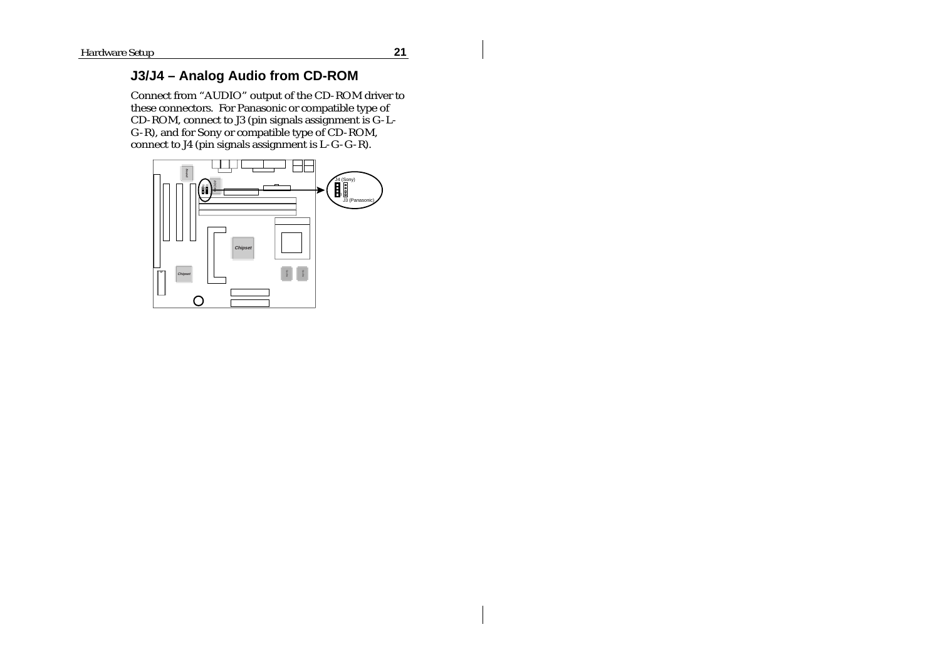$\mathbf{I}$ 

# **J3/J4 – Analog Audio from CD-ROM**

Connect from "AUDIO" output of the CD-ROM driver to these connectors. For Panasonic or compatible type of CD-ROM, connect to J3 (pin signals assignment is G-L-G-R), and for Sony or compatible type of CD-ROM, connect to J4 (pin signals assignment is L-G-G-R).

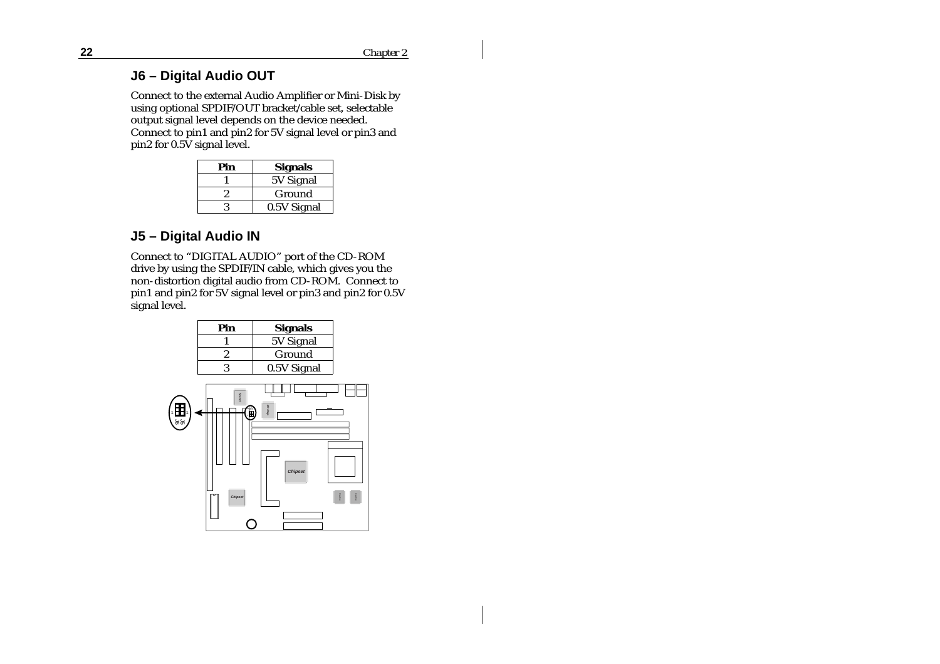#### **J6 – Digital Audio OUT**

Connect to the external Audio Amplifier or Mini-Disk by using optional SPDIF/OUT bracket/cable set, selectable output signal level depends on the device needed. Connect to pin1 and pin2 for 5V signal level or pin3 and pin2 for 0.5V signal level.

| Pin | <b>Signals</b> |
|-----|----------------|
|     | 5V Signal      |
|     | Ground         |
|     | 0.5V Signal    |

# **J5 – Digital Audio IN**

Connect to "DIGITAL AUDIO" port of the CD-ROM drive by using the SPDIF/IN cable, which gives you the non-distortion digital audio from CD-ROM. Connect to pin1 and pin2 for 5V signal level or pin3 and pin2 for 0.5V signal level.

|                     | Pin                   | <b>Signals</b>             |       |
|---------------------|-----------------------|----------------------------|-------|
|                     |                       | 5V Signal                  |       |
|                     | $\overline{c}$        | Ground                     |       |
|                     | 3                     | 0.5V Signal                |       |
| ٠ÆH۰<br>$\sqrt{25}$ | Sound<br>П<br>Chipset | wo civip<br><b>Chipset</b> | own e |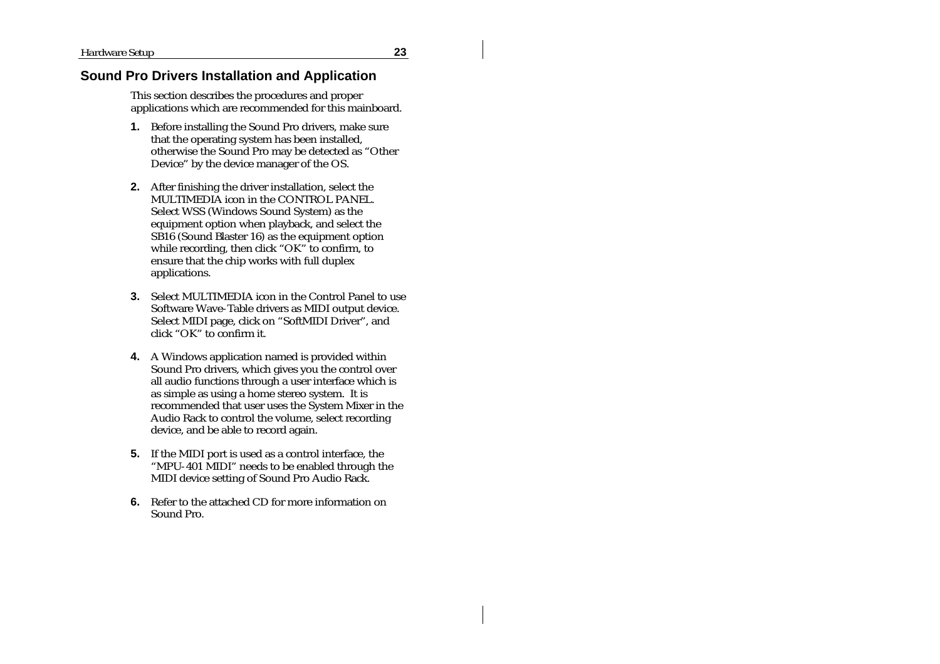#### **Sound Pro Drivers Installation and Application**

This section describes the procedures and proper applications which are recommended for this mainboard.

- **1.** Before installing the Sound Pro drivers, make sure that the operating system has been installed, otherwise the Sound Pro may be detected as "Other Device" by the device manager of the OS.
- **2.** After finishing the driver installation, select the MULTIMEDIA icon in the CONTROL PANEL. Select WSS (Windows Sound System) as the equipment option when playback, and select the  $S\dot{B}16$  (Sound Blaster 16) as the equipment option while recording, then click "OK" to confirm, to ensure that the chip works with full duplex applications.
- **3.** Select MULTIMEDIA icon in the Control Panel to use Software Wave-Table drivers as MIDI output device. Select MIDI page, click on "SoftMIDI Driver", and click "OK" to confirm it.
- **4.** A Windows application named is provided within Sound Pro drivers, which gives you the control over all audio functions through a user interface which is as simple as using a home stereo system. It is recommended that user uses the System Mixer in the Audio Rack to control the volume, select recording device, and be able to record again.
- **5.** If the MIDI port is used as a control interface, the "MPU-401 MIDI" needs to be enabled through the MIDI device setting of Sound Pro Audio Rack.
- **6.** Refer to the attached CD for more information on Sound Pro.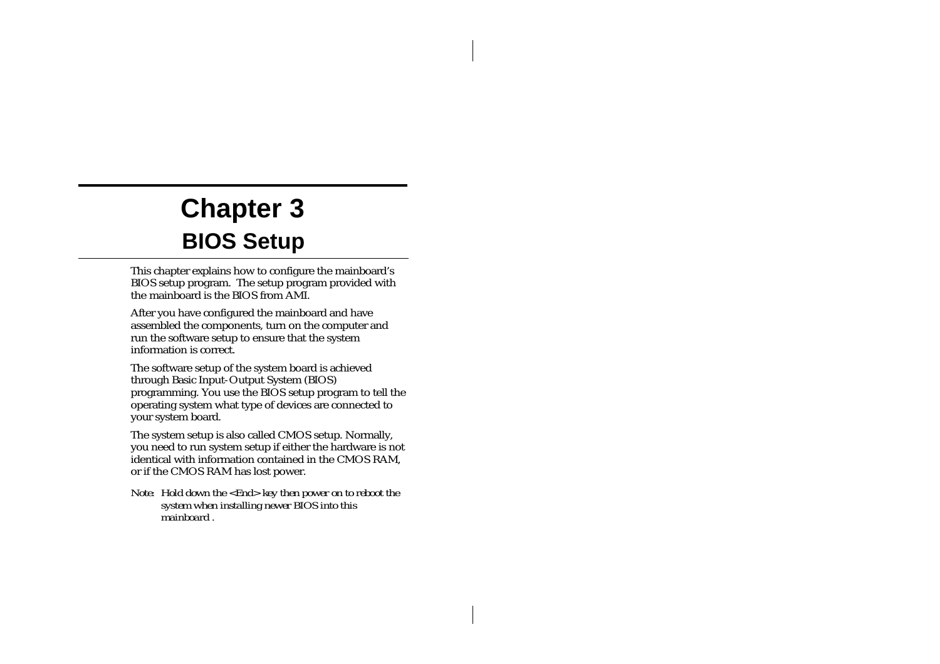# **Chapter 3 BIOS Setup**

This chapter explains how to configure the mainboard's BIOS setup program. The setup program provided with the mainboard is the BIOS from AMI.

After you have configured the mainboard and have assembled the components, turn on the computer and run the software setup to ensure that the system information is correct.

The software setup of the system board is achieved through Basic Input-Output System (BIOS) programming. You use the BIOS setup program to tell the operating system what type of devices are connected to your system board.

The system setup is also called CMOS setup. Normally, you need to run system setup if either the hardware is not identical with information contained in the CMOS RAM, or if the CMOS RAM has lost power.

*Note: Hold down the <End> key then power on to reboot the system when installing newer BIOS into this mainboard .*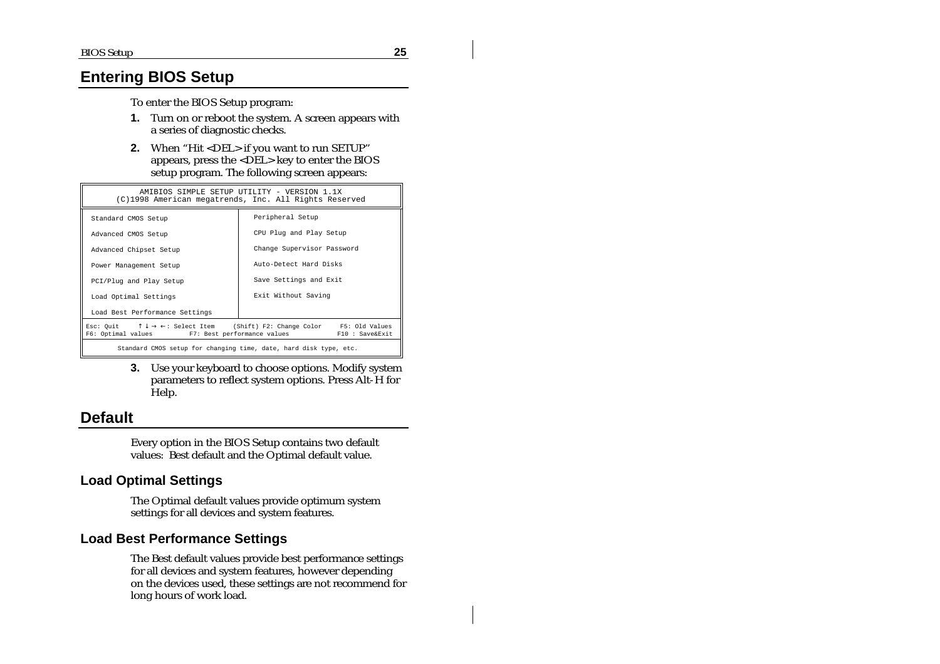# **Entering BIOS Setup**

To enter the BIOS Setup program:

- **1.** Turn on or reboot the system. A screen appears with a series of diagnostic checks.
- **2.** When "Hit <DEL> if you want to run SETUP" appears, press the  $\leq$ DEL $>$  key to enter the BIOS setup program. The following screen appears:

| AMIBIOS SIMPLE SETUP UTILITY - VERSION 1.1X<br>(C)1998 American megatrends, Inc. All Rights Reserved                                                                              |                            |  |
|-----------------------------------------------------------------------------------------------------------------------------------------------------------------------------------|----------------------------|--|
| Standard CMOS Setup                                                                                                                                                               | Peripheral Setup           |  |
| Advanced CMOS Setup                                                                                                                                                               | CPU Plug and Play Setup    |  |
| Advanced Chipset Setup                                                                                                                                                            | Change Supervisor Password |  |
| Power Management Setup                                                                                                                                                            | Auto-Detect Hard Disks     |  |
| PCI/Plug and Play Setup                                                                                                                                                           | Save Settings and Exit     |  |
| Load Optimal Settings                                                                                                                                                             | Exit Without Saving        |  |
| Load Best Performance Settings                                                                                                                                                    |                            |  |
| Esc: Quit $\uparrow \downarrow \rightarrow \leftarrow$ : Select Item (Shift) F2: Change Color F5: Old Values<br>F6: Optimal values F7: Best performance values<br>F10 : Save&Exit |                            |  |
| Standard CMOS setup for changing time, date, hard disk type, etc.                                                                                                                 |                            |  |

**3.** Use your keyboard to choose options. Modify system parameters to reflect system options. Press Alt-H for Help.

# **Default**

Every option in the BIOS Setup contains two default values: Best default and the Optimal default value.

#### **Load Optimal Settings**

The Optimal default values provide optimum system settings for all devices and system features.

#### **Load Best Performance Settings**

The Best default values provide best performance settings for all devices and system features, however depending on the devices used, these settings are not recommend for long hours of work load.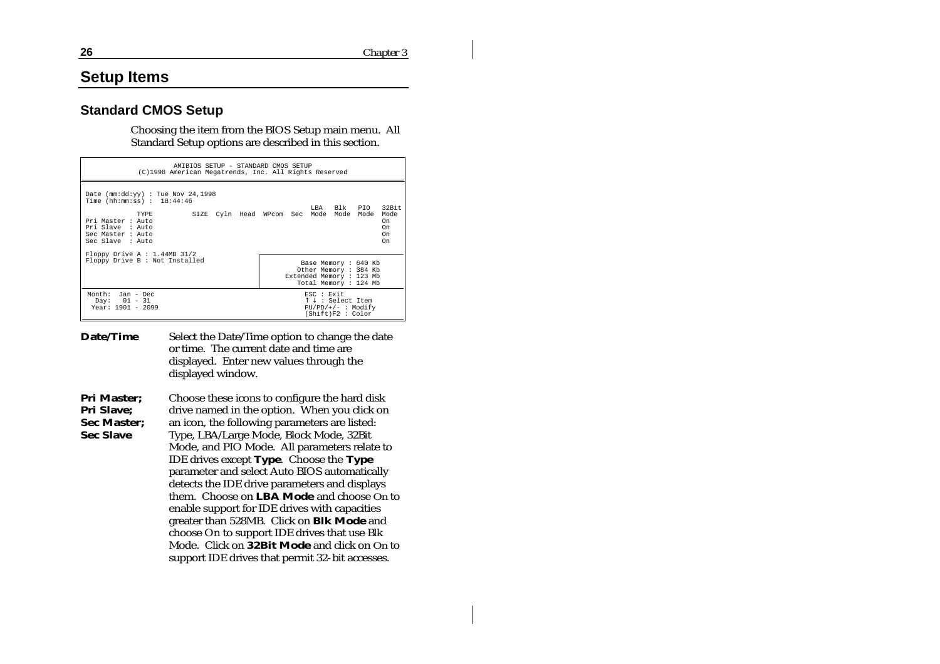### **Setup Items**

#### **Standard CMOS Setup**

Choosing the item from the BIOS Setup main menu. All Standard Setup options are described in this section.

| AMIBIOS SETUP - STANDARD CMOS SETUP<br>(C)1998 American Megatrends, Inc. All Rights Reserved                                                                           |                                                                                                |  |  |  |  |
|------------------------------------------------------------------------------------------------------------------------------------------------------------------------|------------------------------------------------------------------------------------------------|--|--|--|--|
| Date ( $mm:dd:yy$ ) : Tue Nov 24,1998<br>Time ( $hh:mm:ss$ ) : $18:44:46$<br>TYPE<br>Pri Master : Auto<br>Pri Slave : Auto<br>Sec Master : Auto<br>Sec Slave : Auto    | LBA Blk PIO 32Bit<br>Mode<br>SIZE Cyln Head WPcom Sec Mode Mode Mode<br>0n<br>On<br>On<br>On   |  |  |  |  |
| Floppy Drive A : $1.44MB$ 31/2<br>Floppy Drive B : Not Installed<br>Base Memory : 640 Kb<br>Other Memory : 384 Kb<br>Extended Memory : 123 Mb<br>Total Memory : 124 Mb |                                                                                                |  |  |  |  |
| Month: Jan - Dec<br>Day: $01 - 31$<br>Year: $1901 - 2099$                                                                                                              | ESC : Exit<br>$\uparrow \downarrow$ : Select Item<br>$PU/PD/+/-$ : Modify<br>(Shift)F2 : Color |  |  |  |  |

| <b>Date/Time</b> | Select the Date/Time option to change the date |
|------------------|------------------------------------------------|
|                  | or time. The current date and time are         |
|                  | displayed. Enter new values through the        |
|                  | displayed window.                              |

**Pri Master; Pri Slave; Sec Master; Sec Slave** Choose these icons to configure the hard disk drive named in the option. When you click on an icon, the following parameters are listed: Type, LBA/Large Mode, Block Mode, 32Bit Mode, and PIO Mode. All parameters relate to IDE drives except **Type**. Choose the **Type** parameter and select Auto BIOS automatically detects the IDE drive parameters and displays them. Choose on **LBA Mode** and choose *On* to enable support for IDE drives with capacities greater than 528MB. Click on **Blk Mode** and choose On to support IDE drives that use Blk Mode. Click on **32Bit Mode** and click on *On* to support IDE drives that permit 32-bit accesses.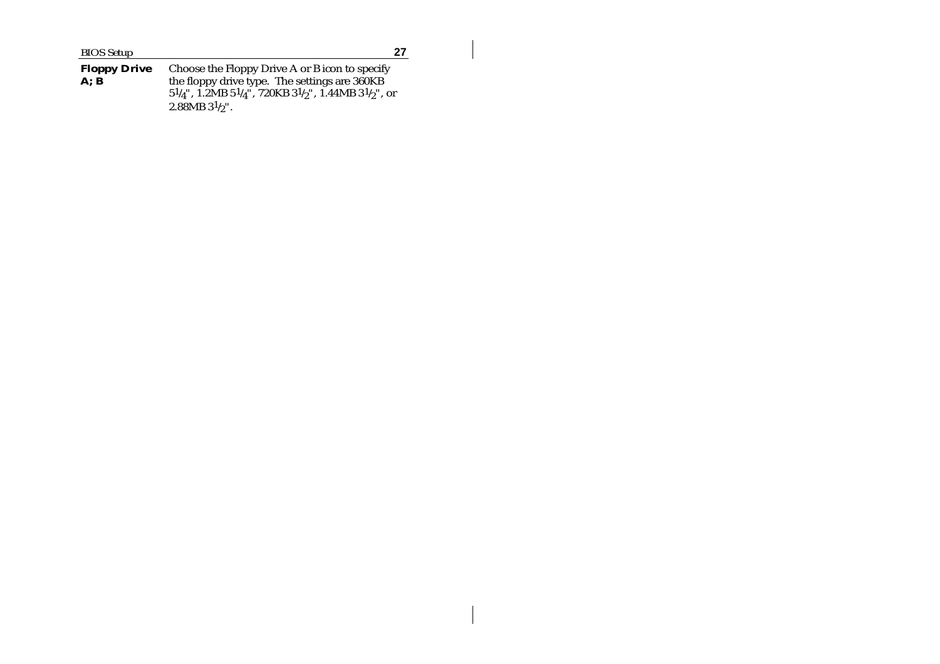**Floppy Drive A; B** Choose the Floppy Drive A or B icon to specify the floppy drive type. The settings are 360KB  $51/4$ ", 1.2MB  $51/4$ ", 720KB  $31/2$ ", 1.44MB  $31/2$ ", or  $2.88\mathrm{MB}$   $31\mathrm{/g}$ ".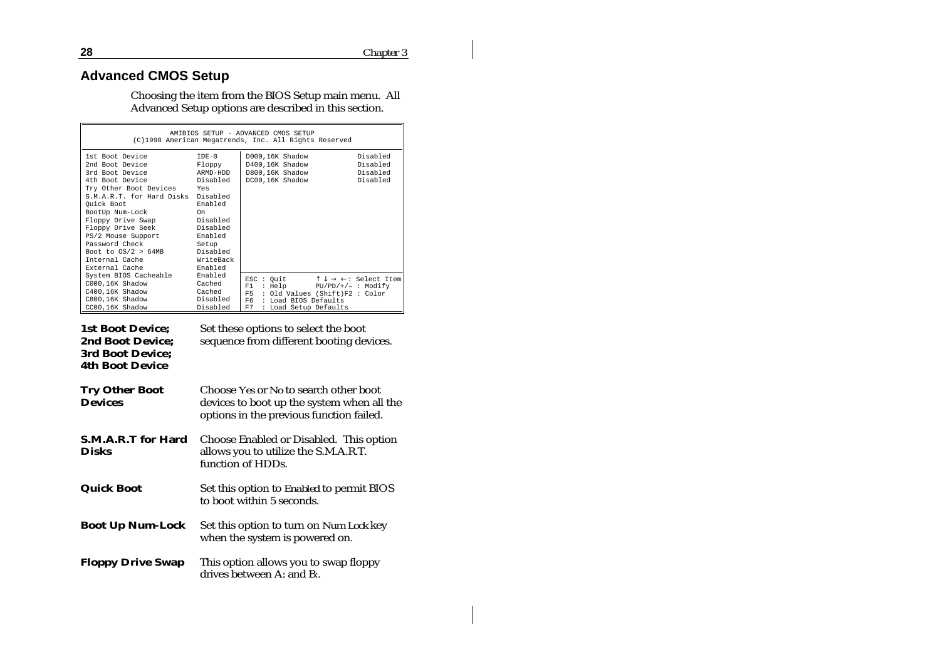# **Advanced CMOS Setup**

Choosing the item from the BIOS Setup main menu. All Advanced Setup options are described in this section.

| AMIBIOS SETUP - ADVANCED CMOS SETUP<br>(C)1998 American Megatrends, Inc. All Rights Reserved                                                                                                                                                                                                                                                                    |                                                                                             |                                                                                                                                                       |                                                           |  |
|-----------------------------------------------------------------------------------------------------------------------------------------------------------------------------------------------------------------------------------------------------------------------------------------------------------------------------------------------------------------|---------------------------------------------------------------------------------------------|-------------------------------------------------------------------------------------------------------------------------------------------------------|-----------------------------------------------------------|--|
| 1st Boot Device<br>2nd Boot Device<br>3rd Boot Device<br>4th Boot Device<br>Try Other Boot Devices Yes<br>S.M.A.R.T. for Hard Disks Disabled<br>Ouick Boot<br>BootUp Num-Lock<br>Floppy Drive Swap Disabled<br>Floppy Drive Seek Disabled<br>PS/2 Mouse Support Enabled<br>Password Check<br>Boot to $OS/2 > 64MB$ Disabled<br>Internal Cache<br>External Cache | $TDE-0$<br>Floppy<br>ARMD-HDD<br>Disabled<br>Enabled<br>On<br>Setup<br>WriteBack<br>Enabled | D000,16K Shadow<br>D400.16K Shadow<br>D800.16K Shadow<br>DC00.16K Shadow                                                                              | Disabled<br>Disabled<br>Disabled<br>Disabled              |  |
| System BIOS Cacheable<br>C000,16K Shadow<br>C400,16K Shadow<br><b>Cached</b><br>C800.16K Shadow<br>CC00.16K Shadow                                                                                                                                                                                                                                              | Enabled<br>Cached<br>Disabled<br>Disabled                                                   | ESC : Quit<br>$: Help$ $PU/PD/+/ : Modify$<br>F1<br>F5<br>: Old Values (Shift)F2 : Color<br>F6<br>: Load BIOS Defaults<br>F7<br>: Load Setup Defaults | $\uparrow \downarrow \rightarrow \leftarrow:$ Select Item |  |

| <b>1st Boot Device;</b><br><b>2nd Boot Device;</b><br>3rd Boot Device;<br><b>4th Boot Device</b> | Set these options to select the boot<br>sequence from different booting devices.                                                |
|--------------------------------------------------------------------------------------------------|---------------------------------------------------------------------------------------------------------------------------------|
| <b>Try Other Boot</b><br><b>Devices</b>                                                          | Choose Yes or No to search other boot<br>devices to boot up the system when all the<br>options in the previous function failed. |
| <b>S.M.A.R.T</b> for Hard<br><b>Disks</b>                                                        | Choose Enabled or Disabled. This option<br>allows you to utilize the S.M.A.R.T.<br>function of HDDs.                            |
| Quick Boot                                                                                       | Set this option to Enabled to permit BIOS<br>to boot within 5 seconds.                                                          |
| <b>Boot Up Num-Lock</b>                                                                          | Set this option to turn on Num Lock key<br>when the system is powered on.                                                       |
| <b>Floppy Drive Swap</b>                                                                         | This option allows you to swap floppy<br>drives between A: and B:.                                                              |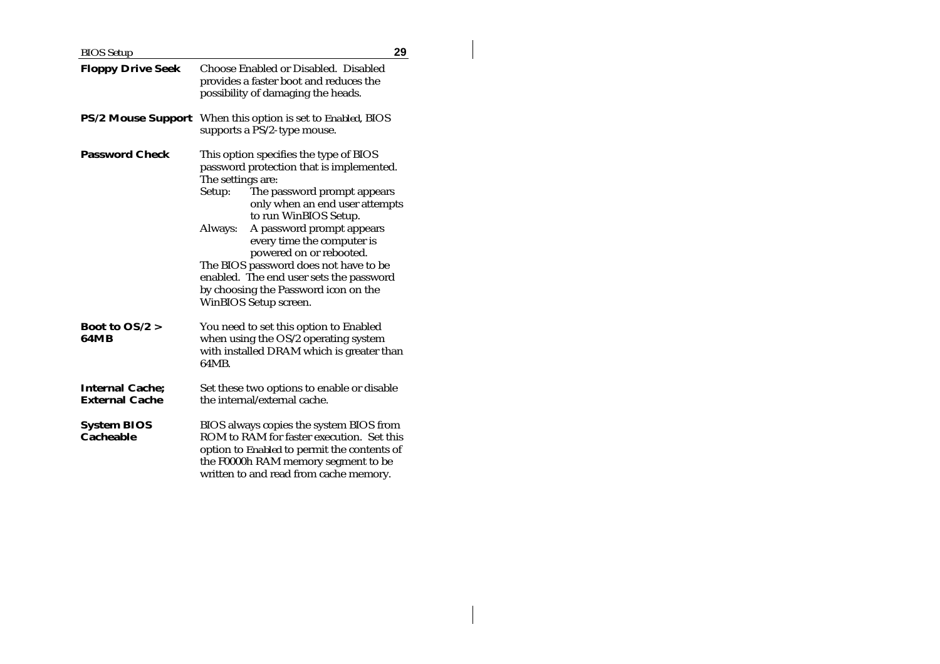| <b>BIOS</b> Setup                                    | 29                                                                                                                                                                                                                                                                                                                                                                                                                                                                |  |  |
|------------------------------------------------------|-------------------------------------------------------------------------------------------------------------------------------------------------------------------------------------------------------------------------------------------------------------------------------------------------------------------------------------------------------------------------------------------------------------------------------------------------------------------|--|--|
| <b>Floppy Drive Seek</b>                             | Choose Enabled or Disabled. Disabled<br>provides a faster boot and reduces the<br>possibility of damaging the heads.                                                                                                                                                                                                                                                                                                                                              |  |  |
|                                                      | <b>PS/2 Mouse Support</b> When this option is set to <i>Enabled</i> , BIOS<br>supports a PS/2-type mouse.                                                                                                                                                                                                                                                                                                                                                         |  |  |
| <b>Password Check</b>                                | This option specifies the type of BIOS<br>password protection that is implemented.<br>The settings are:<br>The password prompt appears<br>Setup:<br>only when an end user attempts<br>to run WinBIOS Setup.<br>A password prompt appears<br>Always:<br>every time the computer is<br>powered on or rebooted.<br>The BIOS password does not have to be<br>enabled. The end user sets the password<br>by choosing the Password icon on the<br>WinBIOS Setup screen. |  |  |
| <b>Boot to <math>OS/2 &gt;</math></b><br><b>64MB</b> | You need to set this option to Enabled<br>when using the OS/2 operating system<br>with installed DRAM which is greater than<br>64MB.                                                                                                                                                                                                                                                                                                                              |  |  |
| <b>Internal Cache;</b><br><b>External Cache</b>      | Set these two options to enable or disable<br>the internal/external cache.                                                                                                                                                                                                                                                                                                                                                                                        |  |  |
| <b>System BIOS</b><br><b>Cacheable</b>               | BIOS always copies the system BIOS from<br>ROM to RAM for faster execution. Set this<br>option to Enabled to permit the contents of<br>the F0000h RAM memory segment to be<br>written to and read from cache memory.                                                                                                                                                                                                                                              |  |  |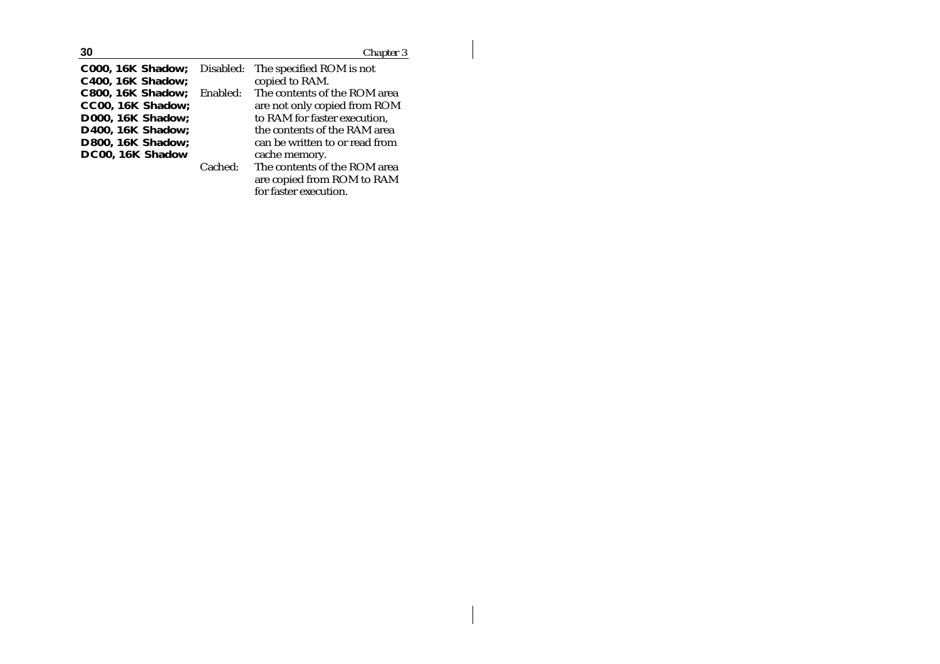| 30                       |           | Chapter 3                      |
|--------------------------|-----------|--------------------------------|
| <b>C000, 16K Shadow;</b> | Disabled: | The specified ROM is not       |
| <b>C400, 16K Shadow;</b> |           | copied to RAM.                 |
| <b>C800, 16K Shadow;</b> | Enabled:  | The contents of the ROM area   |
| CC00, 16K Shadow;        |           | are not only copied from ROM   |
| <b>D000, 16K Shadow;</b> |           | to RAM for faster execution,   |
| <b>D400, 16K Shadow;</b> |           | the contents of the RAM area   |
| <b>D800, 16K Shadow;</b> |           | can be written to or read from |
| DC00, 16K Shadow         |           | cache memory.                  |
|                          | Cached:   | The contents of the ROM area   |
|                          |           | are copied from ROM to RAM     |
|                          |           | for faster execution.          |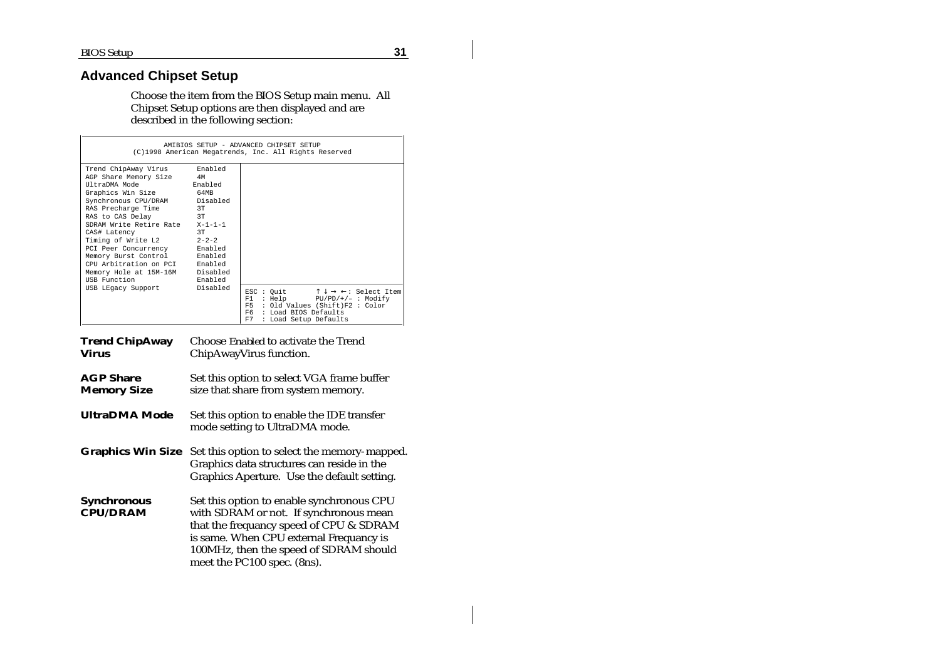# **Advanced Chipset Setup**

Choose the item from the BIOS Setup main menu. All Chipset Setup options are then displayed and are described in the following section:

| AMIBIOS SETUP - ADVANCED CHIPSET SETUP<br>(C)1998 American Megatrends, Inc. All Rights Reserved                                                                                                                                                                                                                                                                                                                                       |               |                                                                                                                                                                                                                  |  |  |
|---------------------------------------------------------------------------------------------------------------------------------------------------------------------------------------------------------------------------------------------------------------------------------------------------------------------------------------------------------------------------------------------------------------------------------------|---------------|------------------------------------------------------------------------------------------------------------------------------------------------------------------------------------------------------------------|--|--|
| Trend ChipAway Virus Enabled<br>AGP Share Memory Size 4M<br>UltraDMA Mode 6 Enabled<br>Graphics Win Size 64MB<br>Synchronous CPU/DRAM Disabled<br>RAS Precharge Time<br>3T<br>RAS to CAS Delay 3T<br>SDRAM Write Retire Rate X-1-1-1<br>CAS# Latency<br>Timing of Write L2 2-2-2<br>PCI Peer Concurrency Enabled<br>Memory Burst Control Enabled<br>CPU Arbitration on PCI Enabled<br>Memory Hole at 15M-16M Disabled<br>USB Function | 3T<br>Enabled |                                                                                                                                                                                                                  |  |  |
| USB LEgacy Support                                                                                                                                                                                                                                                                                                                                                                                                                    | Disabled      | ESC : Quit $\uparrow \downarrow \rightarrow \leftarrow$ : Select Item<br>: Help PU/PD/+/- : Modify<br>F1 -<br>: Old Values (Shift)F2 : Color<br>F5.<br>F6<br>: Load BIOS Defaults<br>F7<br>: Load Setup Defaults |  |  |

| <b>Trend ChipAway</b><br><b>Virus</b>  | Choose <i>Enabled</i> to activate the Trend<br>ChipAwayVirus function.                                                                                                                                                                             |
|----------------------------------------|----------------------------------------------------------------------------------------------------------------------------------------------------------------------------------------------------------------------------------------------------|
| <b>AGP Share</b><br><b>Memory Size</b> | Set this option to select VGA frame buffer<br>size that share from system memory.                                                                                                                                                                  |
| <b>UltraDMA</b> Mode                   | Set this option to enable the IDE transfer<br>mode setting to UltraDMA mode.                                                                                                                                                                       |
| <b>Graphics Win Size</b>               | Set this option to select the memory-mapped.<br>Graphics data structures can reside in the<br>Graphics Aperture. Use the default setting.                                                                                                          |
| <b>Synchronous</b><br><b>CPU/DRAM</b>  | Set this option to enable synchronous CPU<br>with SDRAM or not. If synchronous mean<br>that the frequancy speed of CPU & SDRAM<br>is same. When CPU external Frequancy is<br>100MHz, then the speed of SDRAM should<br>meet the PC100 spec. (8ns). |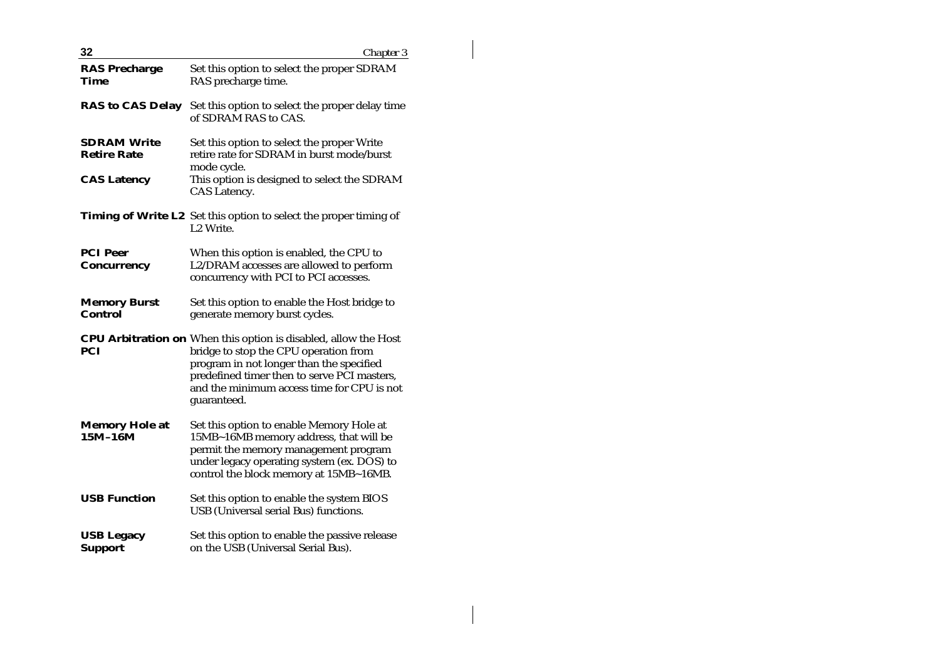| 32                                                             | Chapter 3                                                                                                                                                                                                                                                               |
|----------------------------------------------------------------|-------------------------------------------------------------------------------------------------------------------------------------------------------------------------------------------------------------------------------------------------------------------------|
| <b>RAS Precharge</b><br>Time                                   | Set this option to select the proper SDRAM<br>RAS precharge time.                                                                                                                                                                                                       |
| <b>RAS to CAS Delay</b>                                        | Set this option to select the proper delay time<br>of SDRAM RAS to CAS.                                                                                                                                                                                                 |
| <b>SDRAM Write</b><br><b>Retire Rate</b><br><b>CAS Latency</b> | Set this option to select the proper Write<br>retire rate for SDRAM in burst mode/burst<br>mode cycle.<br>This option is designed to select the SDRAM<br>CAS Latency.                                                                                                   |
|                                                                | <b>Timing of Write L2</b> Set this option to select the proper timing of<br>L <sub>2</sub> Write.                                                                                                                                                                       |
| <b>PCI Peer</b><br><b>Concurrency</b>                          | When this option is enabled, the CPU to<br>L2/DRAM accesses are allowed to perform<br>concurrency with PCI to PCI accesses.                                                                                                                                             |
| <b>Memory Burst</b><br><b>Control</b>                          | Set this option to enable the Host bridge to<br>generate memory burst cycles.                                                                                                                                                                                           |
| PCI                                                            | <b>CPU Arbitration on</b> When this option is disabled, allow the Host<br>bridge to stop the CPU operation from<br>program in not longer than the specified<br>predefined timer then to serve PCI masters,<br>and the minimum access time for CPU is not<br>guaranteed. |
| <b>Memory Hole at</b><br>$15M-16M$                             | Set this option to enable Memory Hole at<br>15MB~16MB memory address, that will be<br>permit the memory management program<br>under legacy operating system (ex. DOS) to<br>control the block memory at 15MB~16MB.                                                      |
| <b>USB Function</b>                                            | Set this option to enable the system BIOS<br>USB (Universal serial Bus) functions.                                                                                                                                                                                      |
| <b>USB Legacy</b><br><b>Support</b>                            | Set this option to enable the passive release<br>on the USB (Universal Serial Bus).                                                                                                                                                                                     |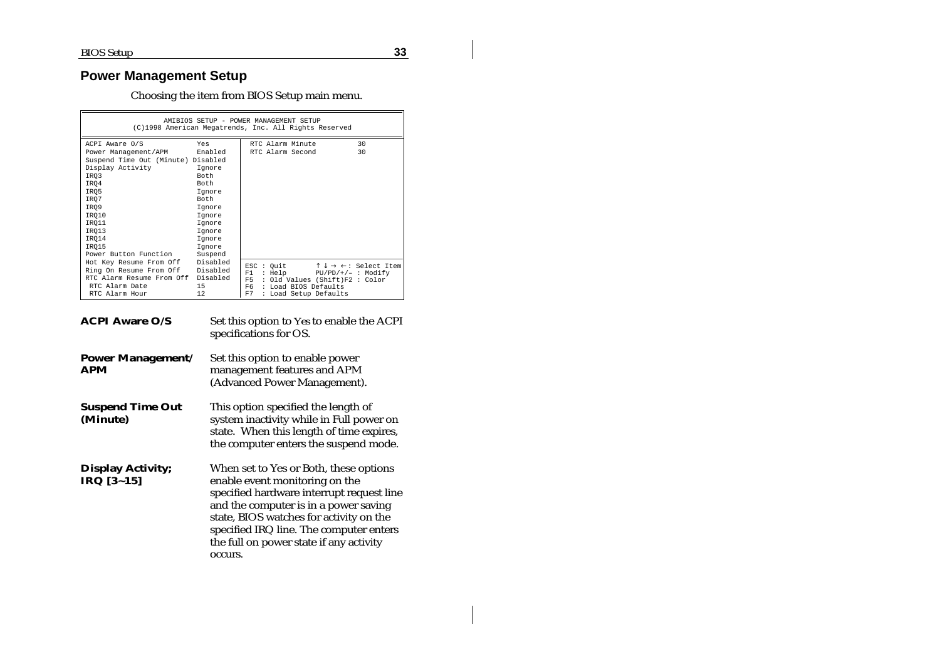# **Power Management Setup**

Choosing the item from BIOS Setup main menu.

| AMIBIOS SETUP - POWER MANAGEMENT SETUP<br>(C)1998 American Megatrends, Inc. All Rights Reserved |         |                                      |                                                           |  |
|-------------------------------------------------------------------------------------------------|---------|--------------------------------------|-----------------------------------------------------------|--|
| ACPI Aware O/S                                                                                  | Yes     | RTC Alarm Minute                     | 30                                                        |  |
| Power Management/APM Enabled                                                                    |         | RTC Alarm Second                     | 30                                                        |  |
| Suspend Time Out (Minute) Disabled                                                              |         |                                      |                                                           |  |
| Display Activity                                                                                | Iqnore  |                                      |                                                           |  |
| IRO3                                                                                            | Both.   |                                      |                                                           |  |
| IRO4                                                                                            | Both.   |                                      |                                                           |  |
| IR05                                                                                            | Iqnore  |                                      |                                                           |  |
| IR07                                                                                            | Both    |                                      |                                                           |  |
| IRO9                                                                                            | Iqnore  |                                      |                                                           |  |
| IRO10                                                                                           | Iqnore  |                                      |                                                           |  |
| IRO11                                                                                           | Iqnore  |                                      |                                                           |  |
| IRO13                                                                                           | Iqnore  |                                      |                                                           |  |
| IRO14                                                                                           | Iqnore  |                                      |                                                           |  |
| IRO15                                                                                           | Ignore  |                                      |                                                           |  |
| Power Button Function                                                                           | Suspend |                                      |                                                           |  |
| Hot Key Resume From Off Disabled                                                                |         | ESC : Quit                           | $\uparrow \downarrow \rightarrow \leftarrow:$ Select Item |  |
| Ring On Resume From Off Disabled                                                                |         | : Help<br>F1<br>$PU/PD/+/-$ : Modify |                                                           |  |
| RTC Alarm Resume From Off Disabled                                                              |         | : Old Values (Shift)F2 : Color<br>F5 |                                                           |  |
| RTC Alarm Date                                                                                  | 15      | F6.<br>: Load BIOS Defaults          |                                                           |  |
| RTC Alarm Hour                                                                                  | 12.     | F7<br>: Load Setup Defaults          |                                                           |  |

| <b>ACPI Aware O/S</b>                  | Set this option to Yes to enable the ACPI<br>specifications for OS.                                                                                                                                                                                                                                        |
|----------------------------------------|------------------------------------------------------------------------------------------------------------------------------------------------------------------------------------------------------------------------------------------------------------------------------------------------------------|
| <b>Power Management/</b><br>APM        | Set this option to enable power<br>management features and APM<br>(Advanced Power Management).                                                                                                                                                                                                             |
| <b>Suspend Time Out</b><br>(Minute)    | This option specified the length of<br>system inactivity while in Full power on<br>state. When this length of time expires,<br>the computer enters the suspend mode.                                                                                                                                       |
| <b>Display Activity;</b><br>IRQ [3~15] | When set to Yes or Both, these options<br>enable event monitoring on the<br>specified hardware interrupt request line<br>and the computer is in a power saving<br>state, BIOS watches for activity on the<br>specified IRQ line. The computer enters<br>the full on power state if any activity<br>occurs. |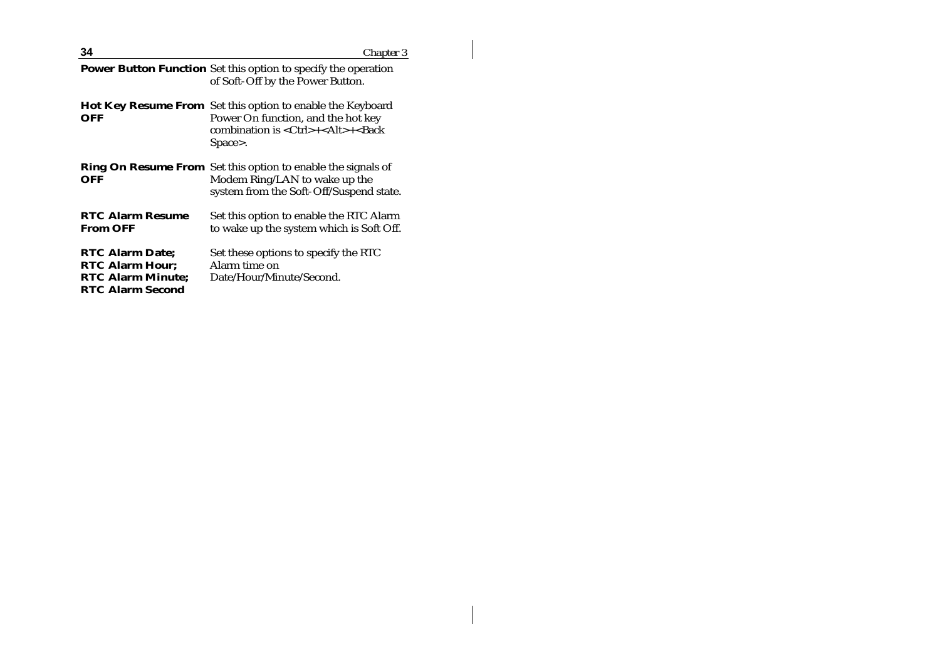| 34                                                                                                      | Chapter 3                                                                                                                                                                         |
|---------------------------------------------------------------------------------------------------------|-----------------------------------------------------------------------------------------------------------------------------------------------------------------------------------|
|                                                                                                         | <b>Power Button Function</b> Set this option to specify the operation<br>of Soft-Off by the Power Button.                                                                         |
| OFF                                                                                                     | <b>Hot Key Resume From</b> Set this option to enable the Keyboard<br>Power On function, and the hot key<br>combination is <ctrl>+<alt>+<back<br>Space&gt;.</back<br></alt></ctrl> |
| OFF                                                                                                     | <b>Ring On Resume From</b> Set this option to enable the signals of<br>Modem Ring/LAN to wake up the<br>system from the Soft-Off/Suspend state.                                   |
| <b>RTC Alarm Resume</b><br>From OFF                                                                     | Set this option to enable the RTC Alarm<br>to wake up the system which is Soft Off.                                                                                               |
| <b>RTC Alarm Date:</b><br><b>RTC Alarm Hour;</b><br><b>RTC Alarm Minute;</b><br><b>RTC Alarm Second</b> | Set these options to specify the RTC<br>Alarm time on<br>Date/Hour/Minute/Second.                                                                                                 |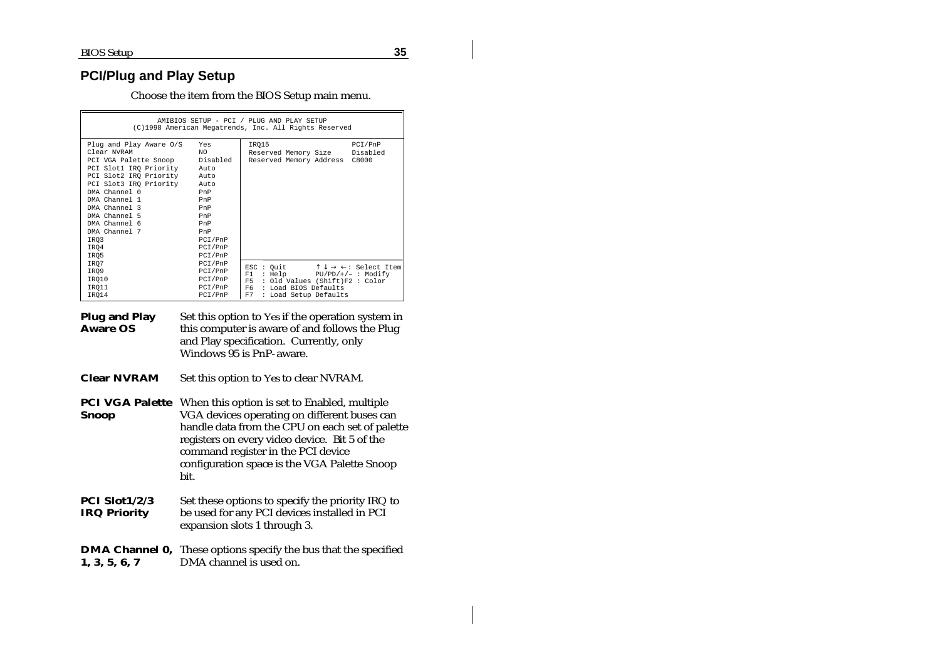# **PCI/Plug and Play Setup**

Choose the item from the BIOS Setup main menu.

| AMIBIOS SETUP - PCI / PLUG AND PLAY SETUP<br>(C)1998 American Megatrends, Inc. All Rights Reserved                                                                                                                                                                                    |                                                                                                           |                                                                                                                                 |                                                                                   |
|---------------------------------------------------------------------------------------------------------------------------------------------------------------------------------------------------------------------------------------------------------------------------------------|-----------------------------------------------------------------------------------------------------------|---------------------------------------------------------------------------------------------------------------------------------|-----------------------------------------------------------------------------------|
| Plug and Play Aware 0/S<br>Clear NVRAM<br>PCI VGA Palette Snoop<br>PCI Slot1 IRO Priority<br>PCI Slot2 IRO Priority Auto<br>PCI Slot3 IRO Priority Auto<br>DMA Channel 0<br>DMA Channel 1<br>DMA Channel 3<br>DMA Channel 5<br>DMA Channel 6<br>DMA Channel 7<br>IRO3<br>IRO4<br>IRO5 | Yes<br>NO.<br>Disabled<br>Auto<br>PnP<br>PnP<br>PnP<br>PnP<br>PnP<br>PnP<br>PCI/PnP<br>PCI/PnP<br>PCI/PnP | IRO15<br>Reserved Memory Size Disabled<br>Reserved Memory Address C8000                                                         | PCI/PnP                                                                           |
| IRO7<br>IRO9<br>IRO10<br>IRO11<br>IRO14                                                                                                                                                                                                                                               | PCI/PnP<br>PCI/PnP<br>PCI/PnP<br>PCI/PnP<br>PCI/PnP                                                       | ESC : Ouit<br>: He1p<br>F1<br>F5<br>: Old Values (Shift)F2 : Color<br>F6<br>: Load BIOS Defaults<br>F7<br>: Load Setup Defaults | $\uparrow \downarrow \rightarrow \leftarrow:$ Select Item<br>$PU/PD/+/-$ : Modify |

| Plug and Play   | Set this option to Yes if the operation system in |
|-----------------|---------------------------------------------------|
| <b>Aware OS</b> | this computer is aware of and follows the Plug    |
|                 | and Play specification. Currently, only           |
|                 | Windows 95 is PnP-aware.                          |

**Clear NVRAM** Set this option to *Yes* to clear NVRAM.

**PCI VGA Palette Snoop** When this option is set to Enabled, multiple VGA devices operating on different buses can handle data from the CPU on each set of palette registers on every video device. Bit 5 of the command register in the PCI device configuration space is the VGA Palette Snoop bit.

| <b>PCI Slot1/2/3</b> | Set these options to specify the priority IRQ to |
|----------------------|--------------------------------------------------|
| <b>IRQ Priority</b>  | be used for any PCI devices installed in PCI     |
|                      | expansion slots 1 through 3.                     |

**DMA Channel 0,** These options specify the bus that the specified **1, 3, 5, 6, 7** DMA channel is used on.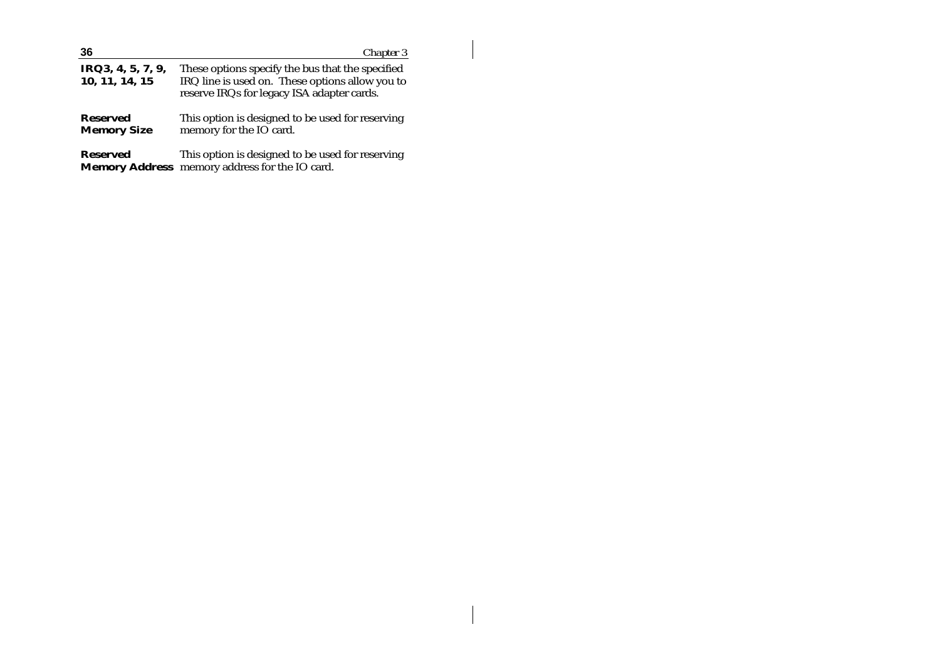| 36                                    | Chapter 3                                                                                                                                         |
|---------------------------------------|---------------------------------------------------------------------------------------------------------------------------------------------------|
| IRQ3, 4, 5, 7, 9,<br>10, 11, 14, 15   | These options specify the bus that the specified<br>IRQ line is used on. These options allow you to<br>reserve IRQs for legacy ISA adapter cards. |
| <b>Reserved</b><br><b>Memory Size</b> | This option is designed to be used for reserving<br>memory for the IO card.                                                                       |
| <b>Reserved</b>                       | This option is designed to be used for reserving<br>Memory Address memory address for the IO card.                                                |

 $\begin{array}{c} \hline \end{array}$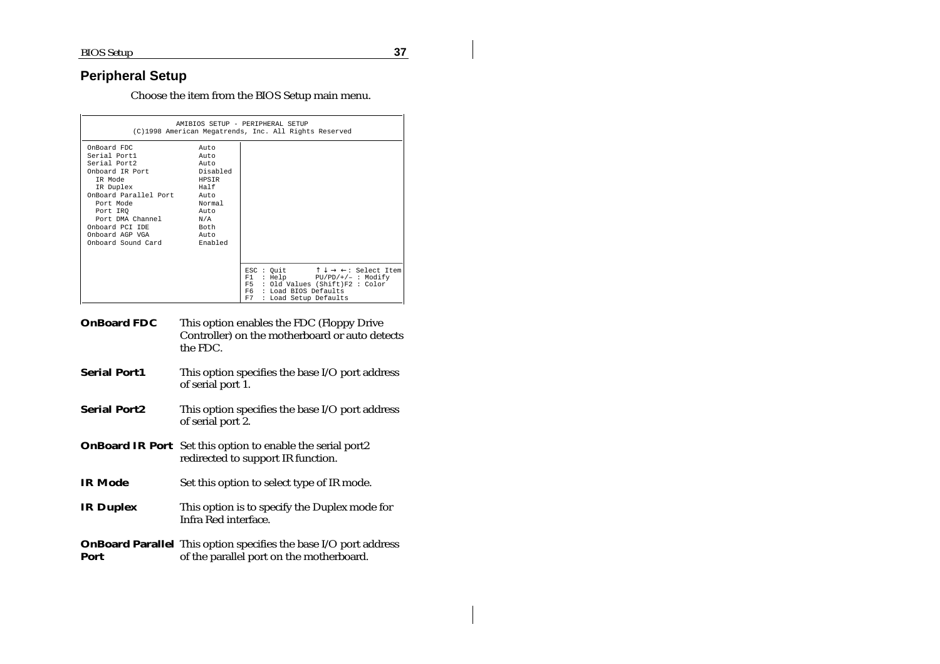### **Peripheral Setup**

Choose the item from the BIOS Setup main menu.

| AMIBIOS SETUP - PERIPHERAL SETUP<br>(C)1998 American Megatrends, Inc. All Rights Reserved                                                                                                                                                  |                                                                                       |                                                                                                                                                                                                                   |
|--------------------------------------------------------------------------------------------------------------------------------------------------------------------------------------------------------------------------------------------|---------------------------------------------------------------------------------------|-------------------------------------------------------------------------------------------------------------------------------------------------------------------------------------------------------------------|
| OnBoard FDC<br>Serial Port1<br>Serial Port2<br>Onboard IR Port<br>TR Mode<br>IR Duplex<br>OnBoard Parallel Port. Auto<br>Port Mode<br>Port IRO<br>Port DMA Channel N/A<br>Onboard PCI IDE<br>Onboard AGP VGA<br>Onboard Sound Card Enabled | Auto<br>Auto<br>Aut.o<br>Disabled<br>HPSIR<br>Half<br>Normal<br>Aut.o<br>Both<br>Auto |                                                                                                                                                                                                                   |
|                                                                                                                                                                                                                                            |                                                                                       | $\uparrow \downarrow \rightarrow \leftarrow:$ Select Item<br>ESC : Quit<br>: Help PU/PD/+/- : Modify<br>F1<br>: Old Values (Shift)F2 : Color<br>F5.<br>: Load BIOS Defaults<br>F6.<br>F7<br>: Load Setup Defaults |

- **OnBoard FDC** This option enables the FDC (Floppy Drive Controller) on the motherboard or auto detects the FDC.
- **Serial Port1** This option specifies the base I/O port address of serial port 1.
- **Serial Port2** This option specifies the base I/O port address of serial port 2.
- **OnBoard IR Port** Set this option to enable the serial port2 redirected to support IR function.
- **IR Mode** Set this option to select type of IR mode.
- **IR Duplex** This option is to specify the Duplex mode for Infra Red interface.
- **OnBoard Parallel** This option specifies the base I/O port address **Port** of the parallel port on the motherboard.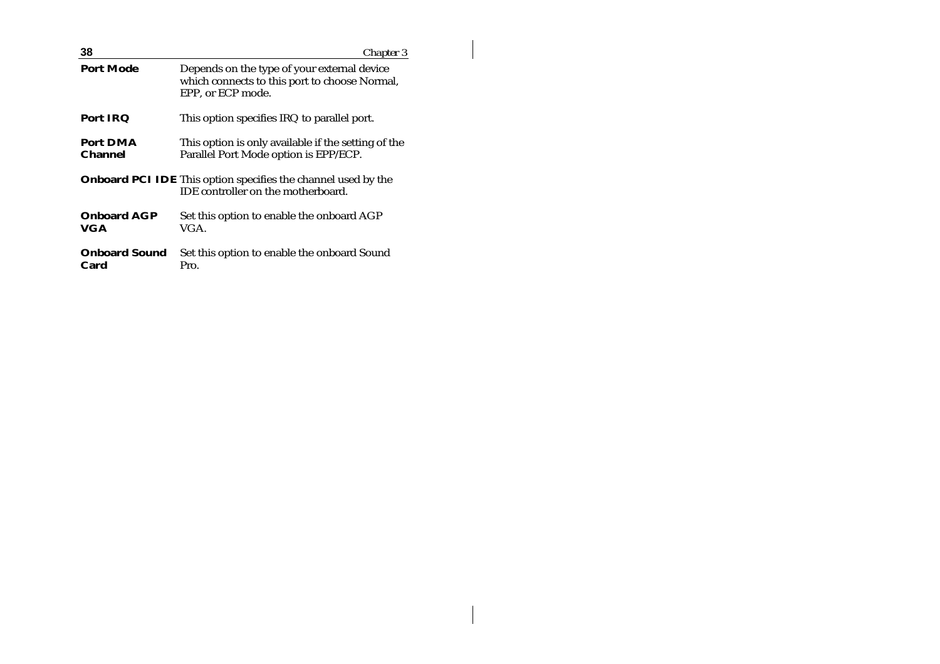| 38                           | Chapter 3                                                                                                         |
|------------------------------|-------------------------------------------------------------------------------------------------------------------|
| <b>Port Mode</b>             | Depends on the type of your external device<br>which connects to this port to choose Normal,<br>EPP. or ECP mode. |
| <b>Port IRQ</b>              | This option specifies IRQ to parallel port.                                                                       |
| Port DMA<br><b>Channel</b>   | This option is only available if the setting of the<br>Parallel Port Mode option is EPP/ECP.                      |
|                              | <b>Onboard PCI IDE</b> This option specifies the channel used by the<br>IDE controller on the motherboard.        |
| <b>Onboard AGP</b><br>VGA    | Set this option to enable the onboard AGP<br>VGA.                                                                 |
| <b>Onboard Sound</b><br>Card | Set this option to enable the onboard Sound<br>Pro.                                                               |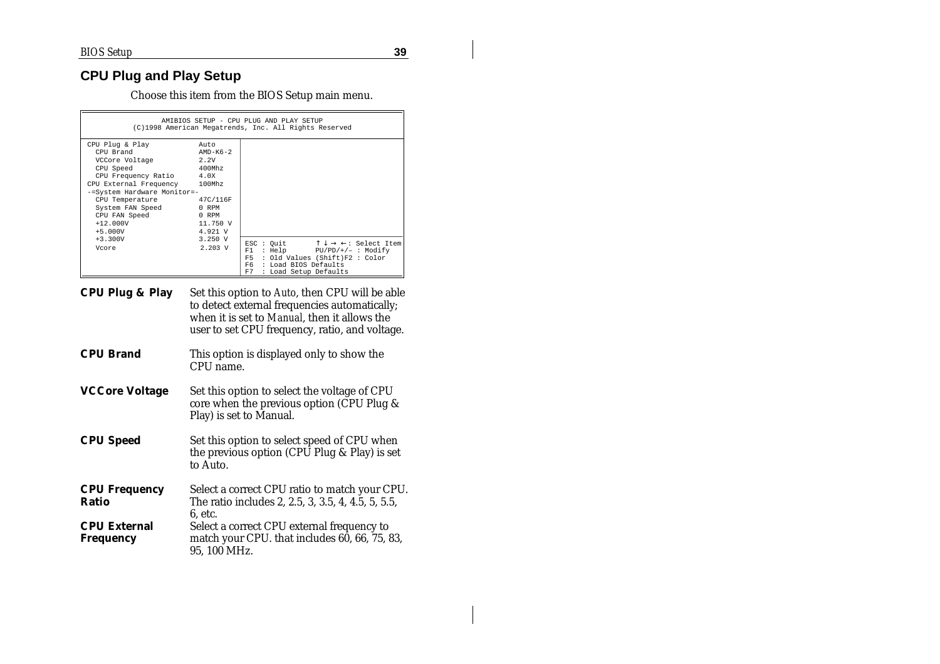# **CPU Plug and Play Setup**

Choose this item from the BIOS Setup main menu.

| AMIBIOS SETUP - CPU PLUG AND PLAY SETUP<br>(C)1998 American Megatrends, Inc. All Rights Reserved                                                                                                                                                          |                                                                       |                                                                                                                                                                                                                     |
|-----------------------------------------------------------------------------------------------------------------------------------------------------------------------------------------------------------------------------------------------------------|-----------------------------------------------------------------------|---------------------------------------------------------------------------------------------------------------------------------------------------------------------------------------------------------------------|
| CPU Plug & Play<br>CPU Brand<br>VCCore Voltage<br>CPU Speed<br>CPU Frequency Ratio 4.0X<br>CPU External Frequency 100Mhz<br>-=System Hardware Monitor=-<br>CPU Temperature<br>System FAN Speed 0 RPM<br>CPU FAN Speed<br>0 RPM<br>$+12.000V$<br>$+5.000V$ | Auto<br>AMD-K6-2<br>2.2V<br>400Mhz<br>47C/116F<br>11.750 V<br>4.921 V |                                                                                                                                                                                                                     |
| $+3.300V$<br>Vcore                                                                                                                                                                                                                                        | 3.250 V<br>$2.203 \text{ V}$                                          | $\uparrow \downarrow \rightarrow \leftarrow:$ Select Item<br>ESC : Quit<br>$: Help$ $PU/PD/+/ : Modify$<br>F1<br>: Old Values (Shift)F2 : Color<br>F5<br>F6.<br>: Load BIOS Defaults<br>F7<br>: Load Setup Defaults |

- **CPU Plug & Play** Set this option to *Auto*, then CPU will be able to detect external frequencies automatically; when it is set to *Manual*, then it allows the user to set CPU frequency, ratio, and voltage.
- **CPU Brand** This option is displayed only to show the CPU name.
- **VCCore Voltage** Set this option to select the voltage of CPU core when the previous option (CPU Plug  $\&$ Play) is set to Manual.
- **CPU Speed** Set this option to select speed of CPU when the previous option (CPU Plug & Play) is set to Auto.

| <b>CPU Frequency</b> | Select a correct CPU ratio to match your CPU.      |
|----------------------|----------------------------------------------------|
| <b>Ratio</b>         | The ratio includes 2, 2.5, 3, 3.5, 4, 4.5, 5, 5.5, |
|                      | 6. etc.                                            |
| <b>CPU External</b>  | Select a correct CPU external frequency to         |
| <b>Frequency</b>     | match your CPU. that includes 60, 66, 75, 83,      |
|                      | 95, 100 MHz.                                       |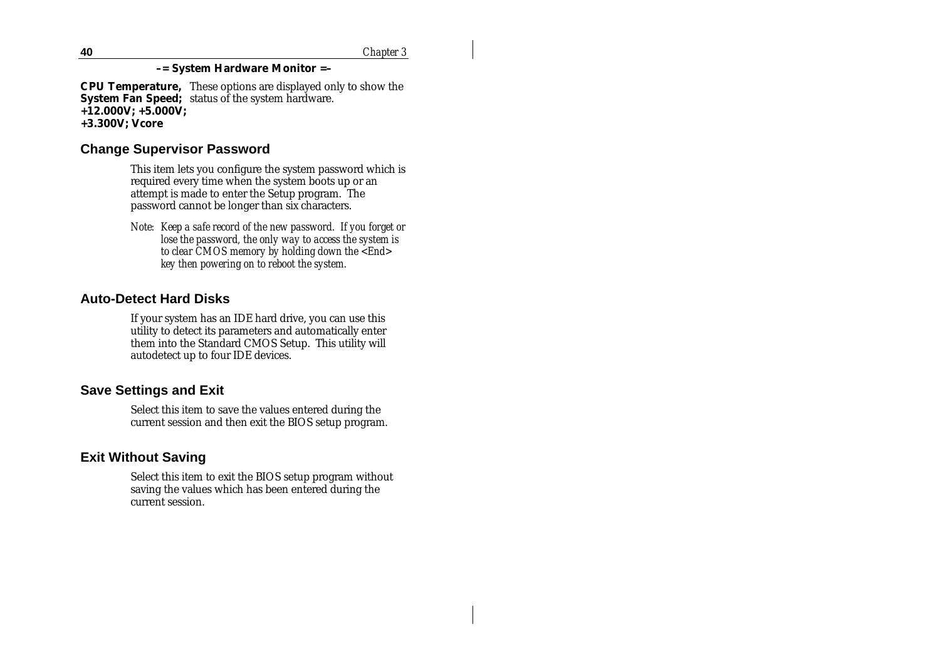#### **–= System Hardware Monitor =–**

**CPU Temperature,**  These options are displayed only to show the **System Fan Speed;** status of the system hardware. **+12.000V; +5.000V; +3.300V; Vcore**

#### **Change Supervisor Password**

This item lets you configure the system password which is required every time when the system boots up or an attempt is made to enter the Setup program. The password cannot be longer than six characters.

*Note: Keep a safe record of the new password. If you forget or lose the password, the only way to access the system is to clear CMOS memory by holding down the <End> key then powering on to reboot the system.*

#### **Auto-Detect Hard Disks**

If your system has an IDE hard drive, you can use this utility to detect its parameters and automatically enter them into the Standard CMOS Setup. This utility will autodetect up to four IDE devices.

#### **Save Settings and Exit**

Select this item to save the values entered during the current session and then exit the BIOS setup program.

#### **Exit Without Saving**

Select this item to exit the BIOS setup program without saving the values which has been entered during the current session.